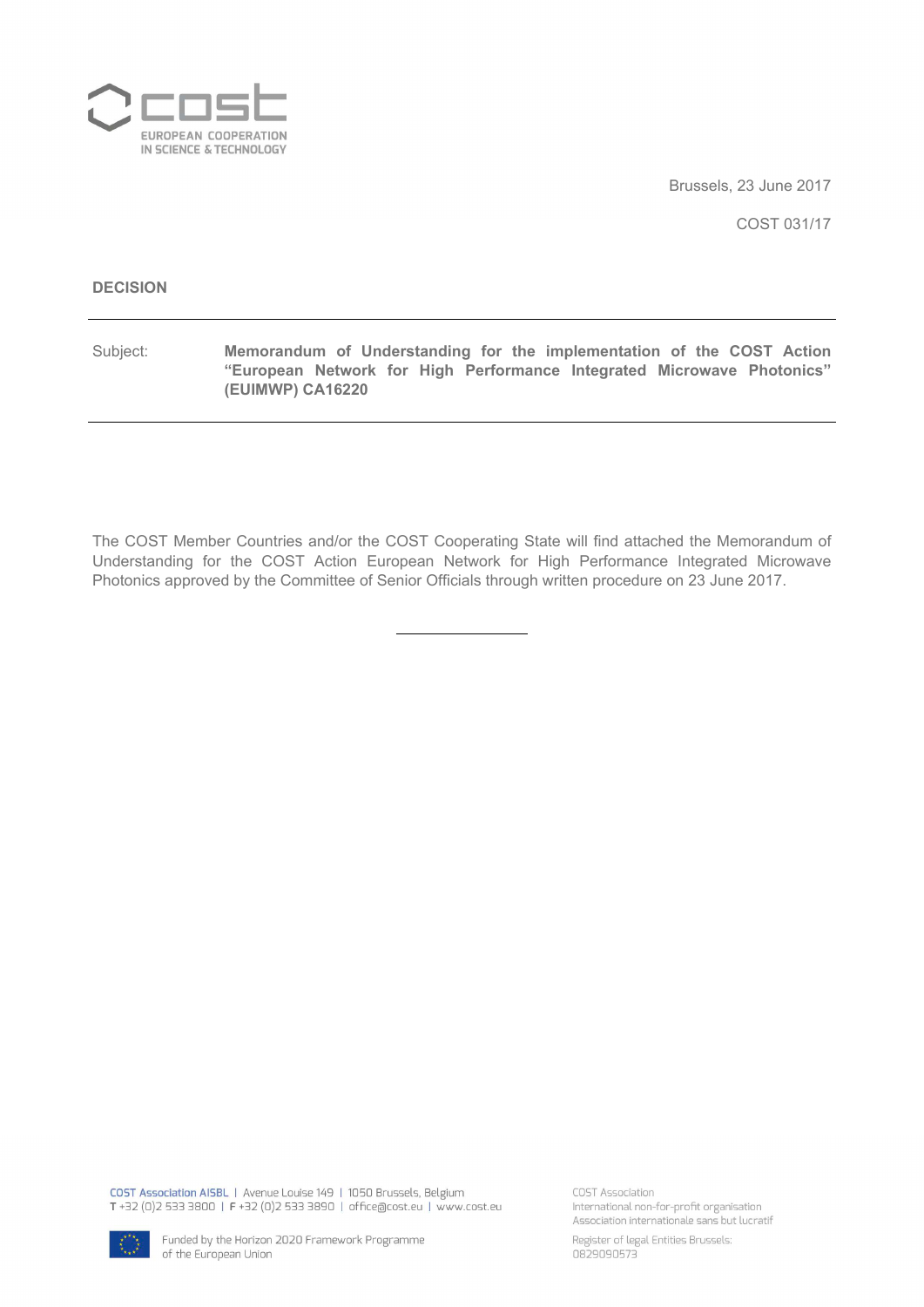

Brussels, 23 June 2017

COST 031/17

#### **DECISION**

Subject: **Memorandum of Understanding for the implementation of the COST Action "European Network for High Performance Integrated Microwave Photonics" (EUIMWP) CA16220**

The COST Member Countries and/or the COST Cooperating State will find attached the Memorandum of Understanding for the COST Action European Network for High Performance Integrated Microwave Photonics approved by the Committee of Senior Officials through written procedure on 23 June 2017.

COST Association AISBL | Avenue Louise 149 | 1050 Brussels, Belgium T+32 (0)2 533 3800 | F+32 (0)2 533 3890 | office@cost.eu | www.cost.eu

COST Association International non-for-profit organisation Association internationale sans but lucratif



Register of legal Entities Brussels: 0829090573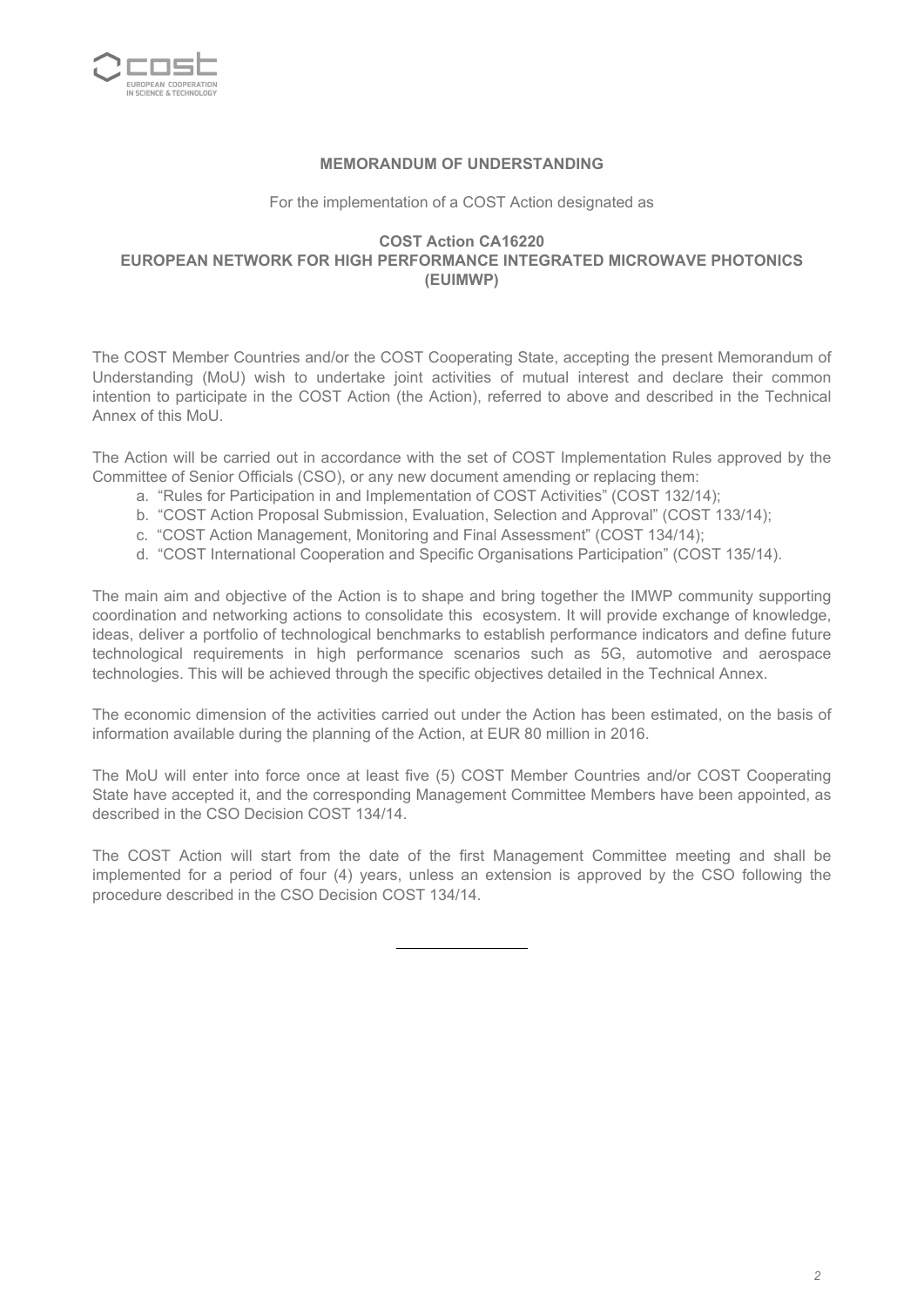

#### **MEMORANDUM OF UNDERSTANDING**

For the implementation of a COST Action designated as

#### **COST Action CA16220 EUROPEAN NETWORK FOR HIGH PERFORMANCE INTEGRATED MICROWAVE PHOTONICS (EUIMWP)**

The COST Member Countries and/or the COST Cooperating State, accepting the present Memorandum of Understanding (MoU) wish to undertake joint activities of mutual interest and declare their common intention to participate in the COST Action (the Action), referred to above and described in the Technical Annex of this MoU.

The Action will be carried out in accordance with the set of COST Implementation Rules approved by the Committee of Senior Officials (CSO), or any new document amending or replacing them:

- a. "Rules for Participation in and Implementation of COST Activities" (COST 132/14);
- b. "COST Action Proposal Submission, Evaluation, Selection and Approval" (COST 133/14);
- c. "COST Action Management, Monitoring and Final Assessment" (COST 134/14);
- d. "COST International Cooperation and Specific Organisations Participation" (COST 135/14).

The main aim and objective of the Action is to shape and bring together the IMWP community supporting coordination and networking actions to consolidate this ecosystem. It will provide exchange of knowledge, ideas, deliver a portfolio of technological benchmarks to establish performance indicators and define future technological requirements in high performance scenarios such as 5G, automotive and aerospace technologies. This will be achieved through the specific objectives detailed in the Technical Annex.

The economic dimension of the activities carried out under the Action has been estimated, on the basis of information available during the planning of the Action, at EUR 80 million in 2016.

The MoU will enter into force once at least five (5) COST Member Countries and/or COST Cooperating State have accepted it, and the corresponding Management Committee Members have been appointed, as described in the CSO Decision COST 134/14.

The COST Action will start from the date of the first Management Committee meeting and shall be implemented for a period of four (4) years, unless an extension is approved by the CSO following the procedure described in the CSO Decision COST 134/14.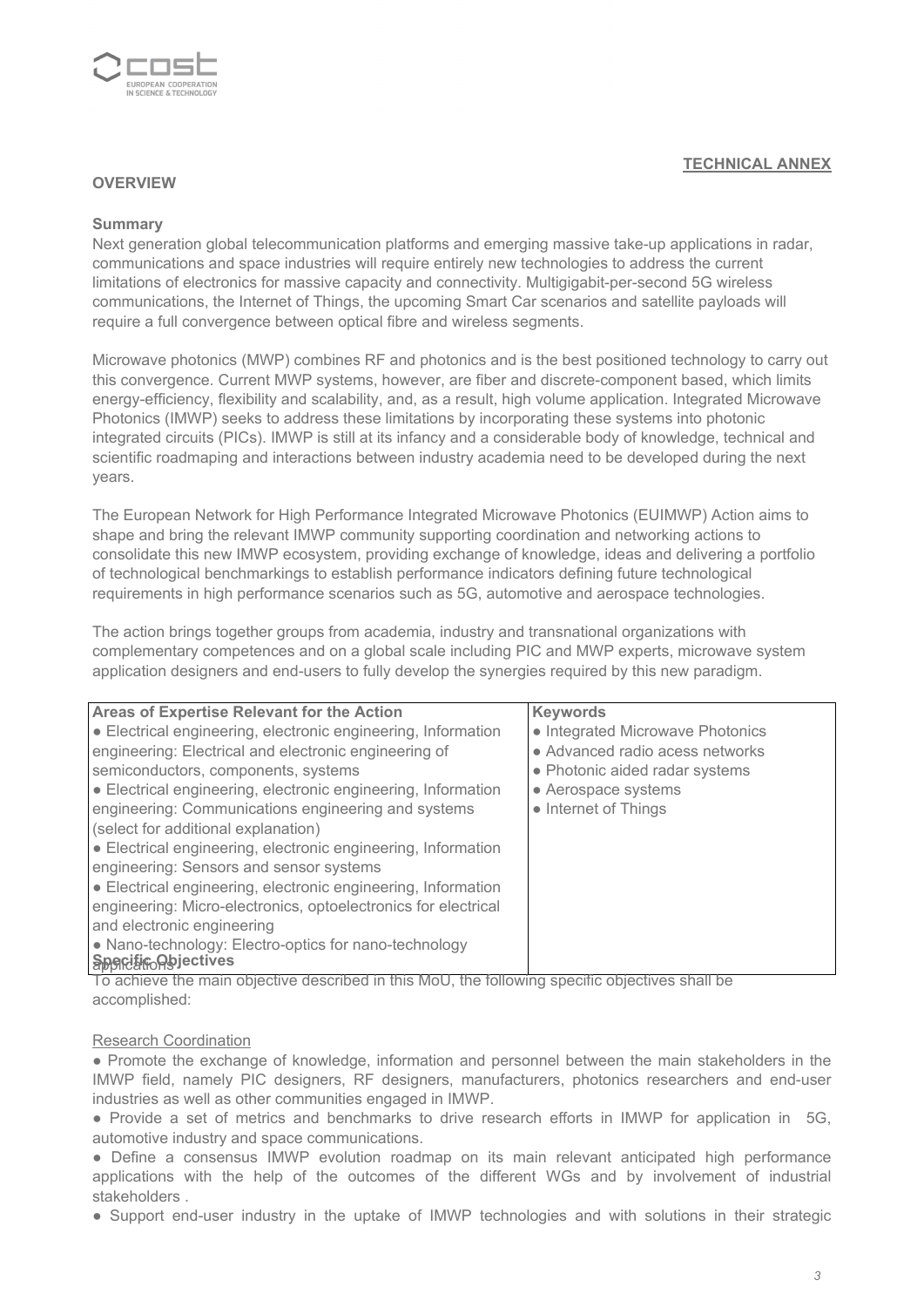

### **TECHNICAL ANNEX**

#### **OVERVIEW**

#### **Summary**

Next generation global telecommunication platforms and emerging massive take-up applications in radar, communications and space industries will require entirely new technologies to address the current limitations of electronics for massive capacity and connectivity. Multigigabit-per-second 5G wireless communications, the Internet of Things, the upcoming Smart Car scenarios and satellite payloads will require a full convergence between optical fibre and wireless segments.

Microwave photonics (MWP) combines RF and photonics and is the best positioned technology to carry out this convergence. Current MWP systems, however, are fiber and discrete-component based, which limits energy-efficiency, flexibility and scalability, and, as a result, high volume application. Integrated Microwave Photonics (IMWP) seeks to address these limitations by incorporating these systems into photonic integrated circuits (PICs). IMWP is still at its infancy and a considerable body of knowledge, technical and scientific roadmaping and interactions between industry academia need to be developed during the next years.

The European Network for High Performance Integrated Microwave Photonics (EUIMWP) Action aims to shape and bring the relevant IMWP community supporting coordination and networking actions to consolidate this new IMWP ecosystem, providing exchange of knowledge, ideas and delivering a portfolio of technological benchmarkings to establish performance indicators defining future technological requirements in high performance scenarios such as 5G, automotive and aerospace technologies.

The action brings together groups from academia, industry and transnational organizations with complementary competences and on a global scale including PIC and MWP experts, microwave system application designers and end-users to fully develop the synergies required by this new paradigm.

| Areas of Expertise Relevant for the Action                                           | <b>Keywords</b>                               |
|--------------------------------------------------------------------------------------|-----------------------------------------------|
| • Electrical engineering, electronic engineering, Information                        | • Integrated Microwave Photonics              |
| engineering: Electrical and electronic engineering of                                | • Advanced radio acess networks               |
| semiconductors, components, systems                                                  | • Photonic aided radar systems                |
| • Electrical engineering, electronic engineering, Information                        | • Aerospace systems                           |
| engineering: Communications engineering and systems                                  | • Internet of Things                          |
| (select for additional explanation)                                                  |                                               |
| • Electrical engineering, electronic engineering, Information                        |                                               |
| engineering: Sensors and sensor systems                                              |                                               |
| • Electrical engineering, electronic engineering, Information                        |                                               |
| engineering: Micro-electronics, optoelectronics for electrical                       |                                               |
| and electronic engineering                                                           |                                               |
| • Nano-technology: Electro-optics for nano-technology                                |                                               |
| <b>Sporting Abjectives</b><br>المتالية المستقال والمستور والمستور والمتناور والمارون | المتواط المستوانين المستورة والمنافس المتلكاة |

To achieve the main objective described in this MoU, the following specific objectives shall be accomplished:

#### Research Coordination

● Promote the exchange of knowledge, information and personnel between the main stakeholders in the IMWP field, namely PIC designers, RF designers, manufacturers, photonics researchers and end-user industries as well as other communities engaged in IMWP.

● Provide a set of metrics and benchmarks to drive research efforts in IMWP for application in 5G, automotive industry and space communications.

● Define a consensus IMWP evolution roadmap on its main relevant anticipated high performance applications with the help of the outcomes of the different WGs and by involvement of industrial stakeholders .

● Support end-user industry in the uptake of IMWP technologies and with solutions in their strategic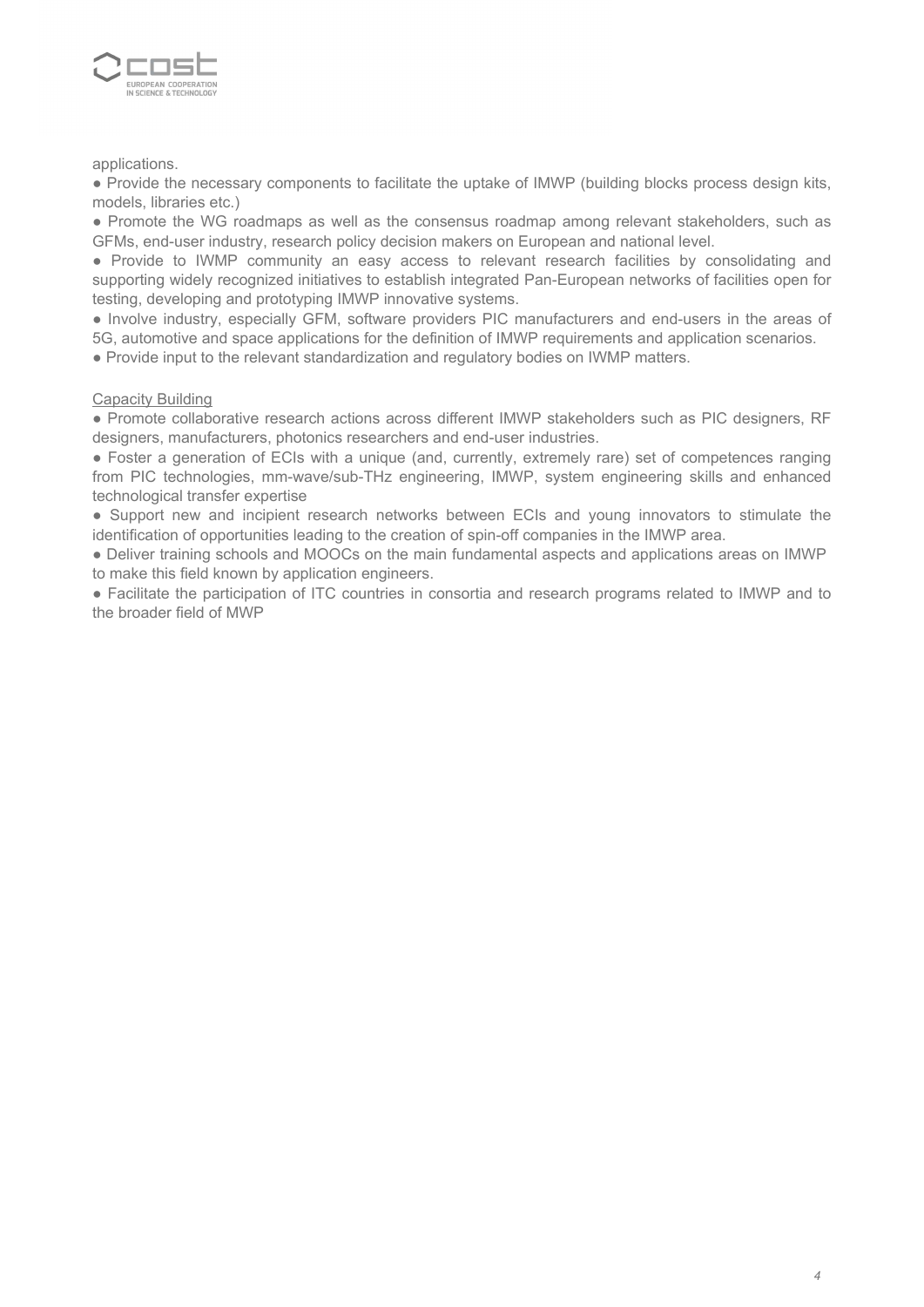

applications.

● Provide the necessary components to facilitate the uptake of IMWP (building blocks process design kits, models, libraries etc.)

● Promote the WG roadmaps as well as the consensus roadmap among relevant stakeholders, such as GFMs, end-user industry, research policy decision makers on European and national level.

● Provide to IWMP community an easy access to relevant research facilities by consolidating and supporting widely recognized initiatives to establish integrated Pan-European networks of facilities open for testing, developing and prototyping IMWP innovative systems.

● Involve industry, especially GFM, software providers PIC manufacturers and end-users in the areas of 5G, automotive and space applications for the definition of IMWP requirements and application scenarios.

● Provide input to the relevant standardization and regulatory bodies on IWMP matters.

#### **Capacity Building**

● Promote collaborative research actions across different IMWP stakeholders such as PIC designers, RF designers, manufacturers, photonics researchers and end-user industries.

• Foster a generation of ECIs with a unique (and, currently, extremely rare) set of competences ranging from PIC technologies, mm-wave/sub-THz engineering, IMWP, system engineering skills and enhanced technological transfer expertise

● Support new and incipient research networks between ECIs and young innovators to stimulate the identification of opportunities leading to the creation of spin-off companies in the IMWP area.

● Deliver training schools and MOOCs on the main fundamental aspects and applications areas on IMWP to make this field known by application engineers.

● Facilitate the participation of ITC countries in consortia and research programs related to IMWP and to the broader field of MWP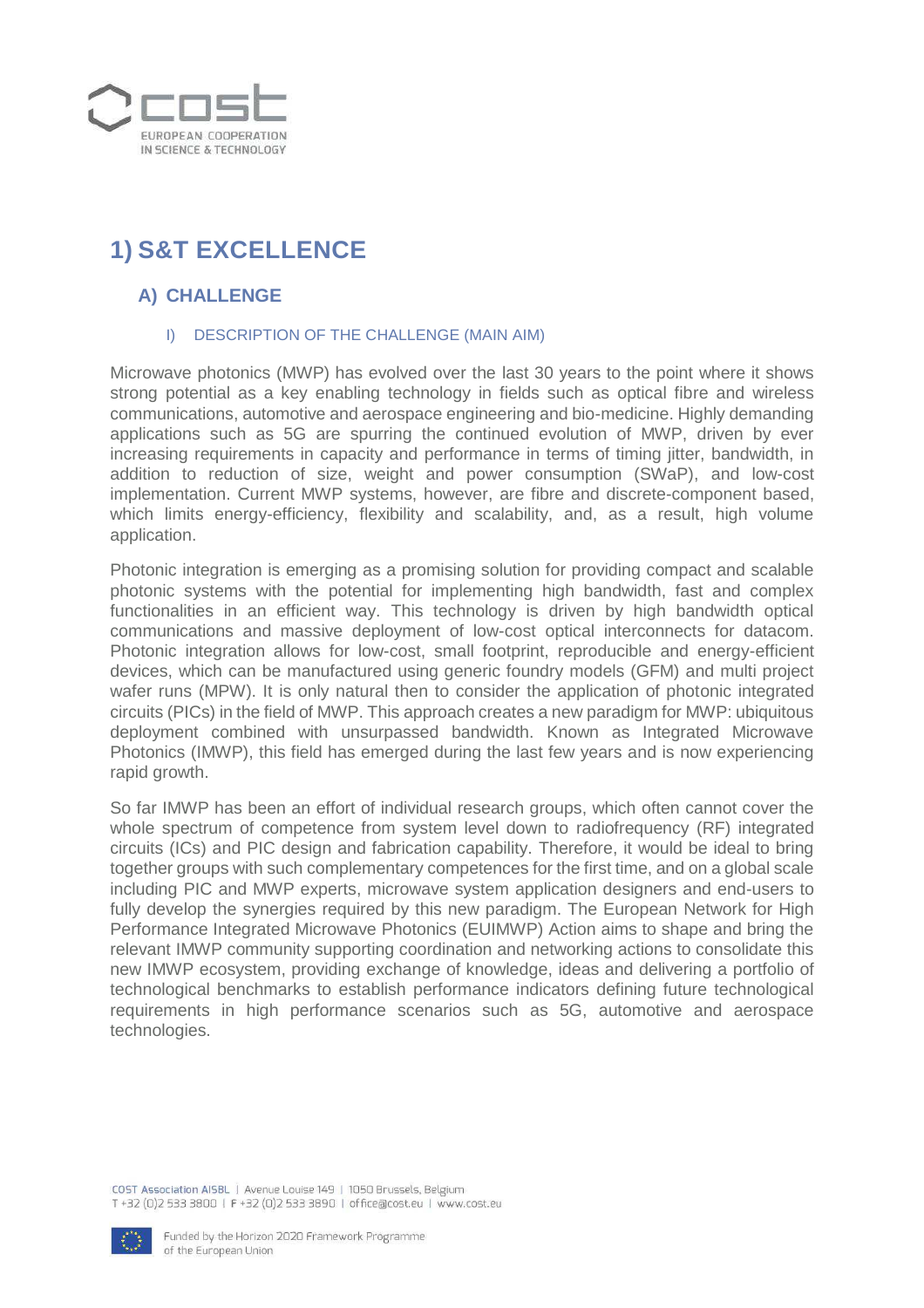

# **1) S&T EXCELLENCE**

## **A) CHALLENGE**

### I) DESCRIPTION OF THE CHALLENGE (MAIN AIM)

Microwave photonics (MWP) has evolved over the last 30 years to the point where it shows strong potential as a key enabling technology in fields such as optical fibre and wireless communications, automotive and aerospace engineering and bio-medicine. Highly demanding applications such as 5G are spurring the continued evolution of MWP, driven by ever increasing requirements in capacity and performance in terms of timing jitter, bandwidth, in addition to reduction of size, weight and power consumption (SWaP), and low-cost implementation. Current MWP systems, however, are fibre and discrete-component based, which limits energy-efficiency, flexibility and scalability, and, as a result, high volume application.

Photonic integration is emerging as a promising solution for providing compact and scalable photonic systems with the potential for implementing high bandwidth, fast and complex functionalities in an efficient way. This technology is driven by high bandwidth optical communications and massive deployment of low-cost optical interconnects for datacom. Photonic integration allows for low-cost, small footprint, reproducible and energy-efficient devices, which can be manufactured using generic foundry models (GFM) and multi project wafer runs (MPW). It is only natural then to consider the application of photonic integrated circuits (PICs) in the field of MWP. This approach creates a new paradigm for MWP: ubiquitous deployment combined with unsurpassed bandwidth. Known as Integrated Microwave Photonics (IMWP), this field has emerged during the last few years and is now experiencing rapid growth.

So far IMWP has been an effort of individual research groups, which often cannot cover the whole spectrum of competence from system level down to radiofrequency (RF) integrated circuits (ICs) and PIC design and fabrication capability. Therefore, it would be ideal to bring together groups with such complementary competences for the first time, and on a global scale including PIC and MWP experts, microwave system application designers and end-users to fully develop the synergies required by this new paradigm. The European Network for High Performance Integrated Microwave Photonics (EUIMWP) Action aims to shape and bring the relevant IMWP community supporting coordination and networking actions to consolidate this new IMWP ecosystem, providing exchange of knowledge, ideas and delivering a portfolio of technological benchmarks to establish performance indicators defining future technological requirements in high performance scenarios such as 5G, automotive and aerospace technologies.

COST Association AISBL | Avenue Louise 149 | 1050 Brussels, Belgium T+32 (0)2 533 3800 | F+32 (0)2 533 3890 | office@cost.eu | www.cost.eu

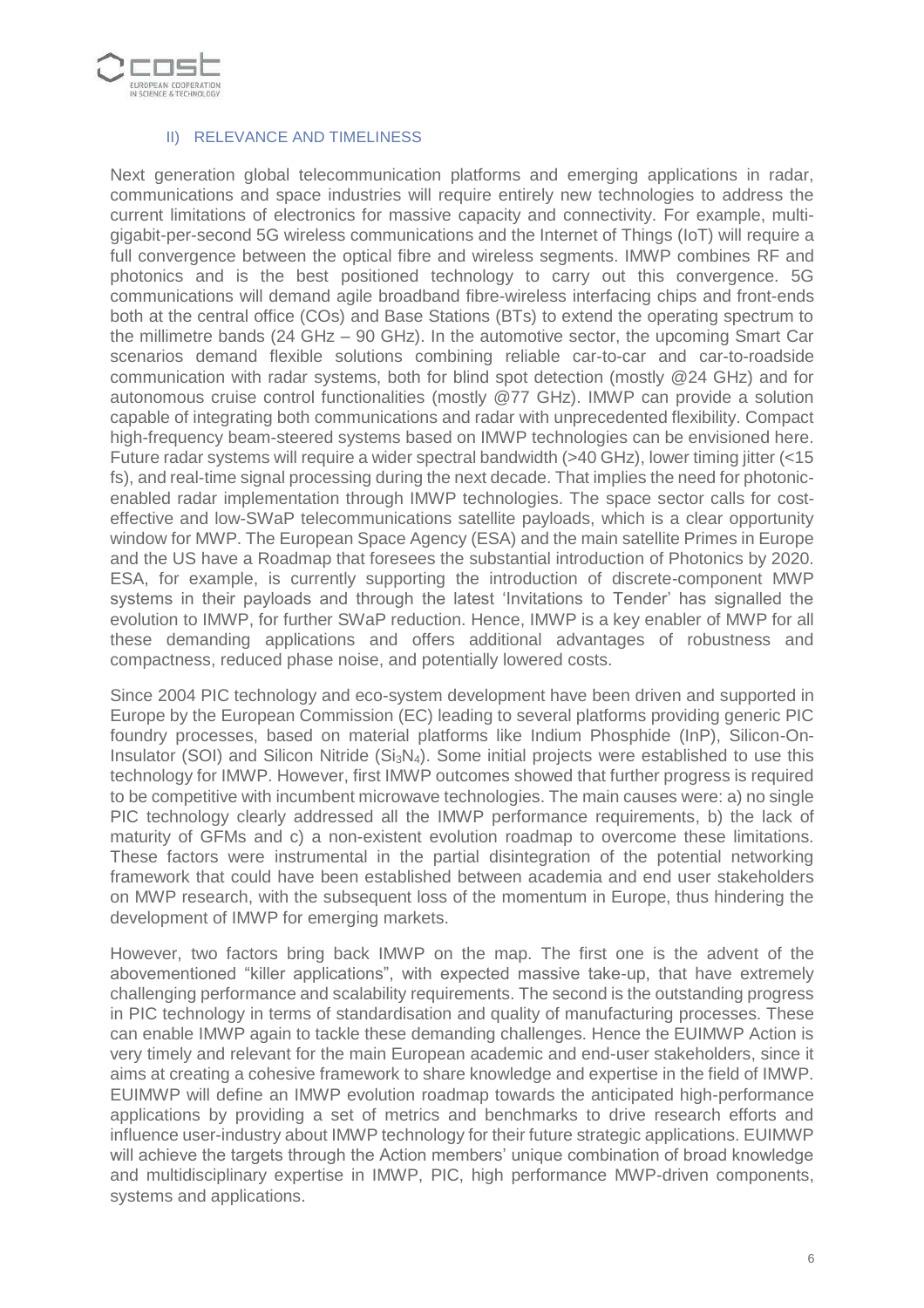

#### II) RELEVANCE AND TIMELINESS

Next generation global telecommunication platforms and emerging applications in radar, communications and space industries will require entirely new technologies to address the current limitations of electronics for massive capacity and connectivity. For example, multigigabit-per-second 5G wireless communications and the Internet of Things (IoT) will require a full convergence between the optical fibre and wireless segments. IMWP combines RF and photonics and is the best positioned technology to carry out this convergence. 5G communications will demand agile broadband fibre-wireless interfacing chips and front-ends both at the central office (COs) and Base Stations (BTs) to extend the operating spectrum to the millimetre bands (24 GHz – 90 GHz). In the automotive sector, the upcoming Smart Car scenarios demand flexible solutions combining reliable car-to-car and car-to-roadside communication with radar systems, both for blind spot detection (mostly @24 GHz) and for autonomous cruise control functionalities (mostly @77 GHz). IMWP can provide a solution capable of integrating both communications and radar with unprecedented flexibility. Compact high-frequency beam-steered systems based on IMWP technologies can be envisioned here. Future radar systems will require a wider spectral bandwidth (>40 GHz), lower timing jitter (<15 fs), and real-time signal processing during the next decade. That implies the need for photonicenabled radar implementation through IMWP technologies. The space sector calls for costeffective and low-SWaP telecommunications satellite payloads, which is a clear opportunity window for MWP. The European Space Agency (ESA) and the main satellite Primes in Europe and the US have a Roadmap that foresees the substantial introduction of Photonics by 2020. ESA, for example, is currently supporting the introduction of discrete-component MWP systems in their payloads and through the latest 'Invitations to Tender' has signalled the evolution to IMWP, for further SWaP reduction. Hence, IMWP is a key enabler of MWP for all these demanding applications and offers additional advantages of robustness and compactness, reduced phase noise, and potentially lowered costs.

Since 2004 PIC technology and eco-system development have been driven and supported in Europe by the European Commission (EC) leading to several platforms providing generic PIC foundry processes, based on material platforms like Indium Phosphide (InP), Silicon-On-Insulator (SOI) and Silicon Nitride ( $Si<sub>3</sub>N<sub>4</sub>$ ). Some initial projects were established to use this technology for IMWP. However, first IMWP outcomes showed that further progress is required to be competitive with incumbent microwave technologies. The main causes were: a) no single PIC technology clearly addressed all the IMWP performance requirements, b) the lack of maturity of GFMs and c) a non-existent evolution roadmap to overcome these limitations. These factors were instrumental in the partial disintegration of the potential networking framework that could have been established between academia and end user stakeholders on MWP research, with the subsequent loss of the momentum in Europe, thus hindering the development of IMWP for emerging markets.

However, two factors bring back IMWP on the map. The first one is the advent of the abovementioned "killer applications", with expected massive take-up, that have extremely challenging performance and scalability requirements. The second is the outstanding progress in PIC technology in terms of standardisation and quality of manufacturing processes. These can enable IMWP again to tackle these demanding challenges. Hence the EUIMWP Action is very timely and relevant for the main European academic and end-user stakeholders, since it aims at creating a cohesive framework to share knowledge and expertise in the field of IMWP. EUIMWP will define an IMWP evolution roadmap towards the anticipated high-performance applications by providing a set of metrics and benchmarks to drive research efforts and influence user-industry about IMWP technology for their future strategic applications. EUIMWP will achieve the targets through the Action members' unique combination of broad knowledge and multidisciplinary expertise in IMWP, PIC, high performance MWP-driven components, systems and applications.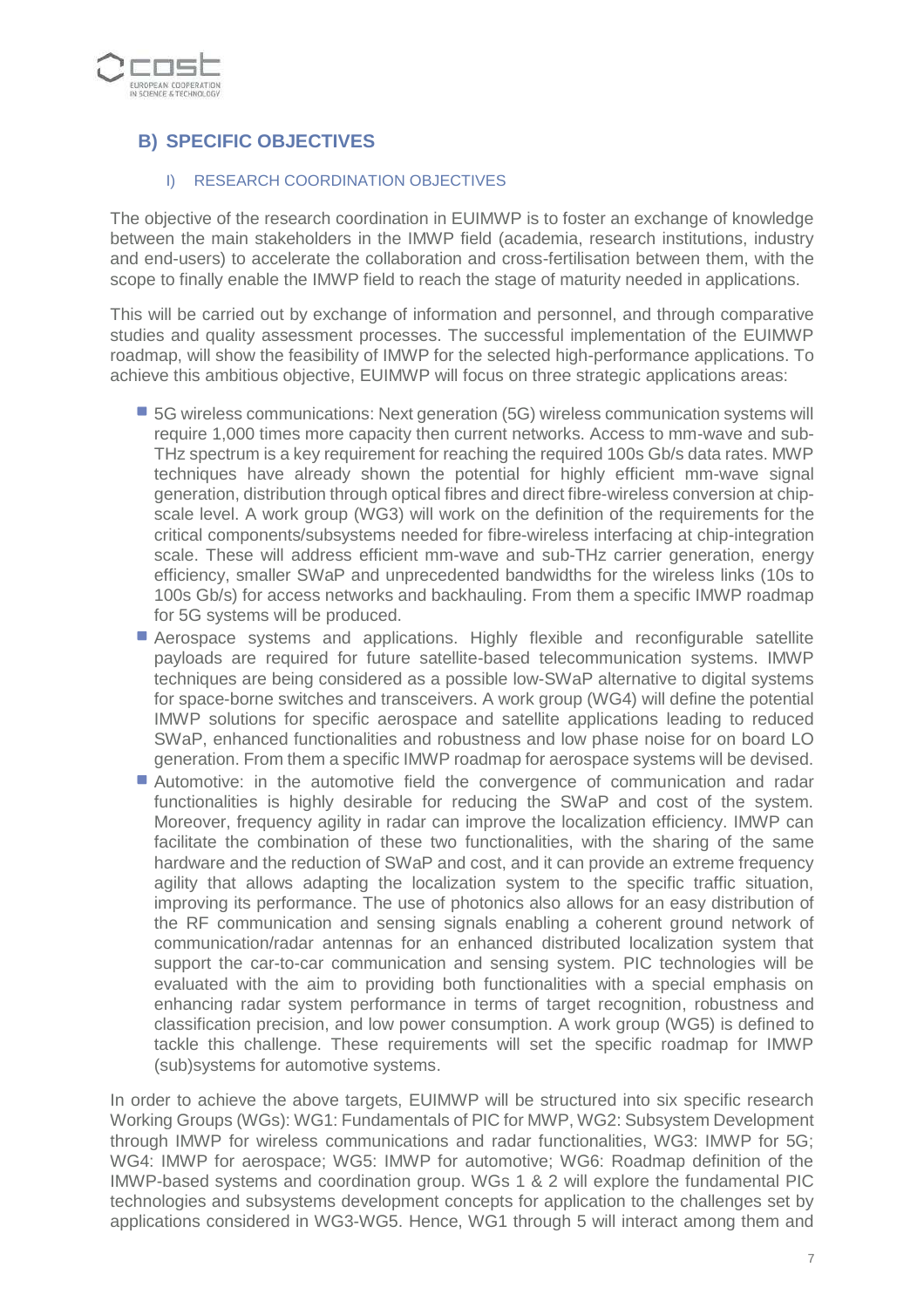

# **B) SPECIFIC OBJECTIVES**

### I) RESEARCH COORDINATION OBJECTIVES

The objective of the research coordination in EUIMWP is to foster an exchange of knowledge between the main stakeholders in the IMWP field (academia, research institutions, industry and end-users) to accelerate the collaboration and cross-fertilisation between them, with the scope to finally enable the IMWP field to reach the stage of maturity needed in applications.

This will be carried out by exchange of information and personnel, and through comparative studies and quality assessment processes. The successful implementation of the EUIMWP roadmap, will show the feasibility of IMWP for the selected high-performance applications. To achieve this ambitious objective, EUIMWP will focus on three strategic applications areas:

- 5G wireless communications: Next generation (5G) wireless communication systems will require 1,000 times more capacity then current networks. Access to mm-wave and sub-THz spectrum is a key requirement for reaching the required 100s Gb/s data rates. MWP techniques have already shown the potential for highly efficient mm-wave signal generation, distribution through optical fibres and direct fibre-wireless conversion at chipscale level. A work group (WG3) will work on the definition of the requirements for the critical components/subsystems needed for fibre-wireless interfacing at chip-integration scale. These will address efficient mm-wave and sub-THz carrier generation, energy efficiency, smaller SWaP and unprecedented bandwidths for the wireless links (10s to 100s Gb/s) for access networks and backhauling. From them a specific IMWP roadmap for 5G systems will be produced.
- **Aerospace systems and applications. Highly flexible and reconfigurable satellite** payloads are required for future satellite-based telecommunication systems. IMWP techniques are being considered as a possible low-SWaP alternative to digital systems for space-borne switches and transceivers. A work group (WG4) will define the potential IMWP solutions for specific aerospace and satellite applications leading to reduced SWaP, enhanced functionalities and robustness and low phase noise for on board LO generation. From them a specific IMWP roadmap for aerospace systems will be devised.
- Automotive: in the automotive field the convergence of communication and radar functionalities is highly desirable for reducing the SWaP and cost of the system. Moreover, frequency agility in radar can improve the localization efficiency. IMWP can facilitate the combination of these two functionalities, with the sharing of the same hardware and the reduction of SWaP and cost, and it can provide an extreme frequency agility that allows adapting the localization system to the specific traffic situation, improving its performance. The use of photonics also allows for an easy distribution of the RF communication and sensing signals enabling a coherent ground network of communication/radar antennas for an enhanced distributed localization system that support the car-to-car communication and sensing system. PIC technologies will be evaluated with the aim to providing both functionalities with a special emphasis on enhancing radar system performance in terms of target recognition, robustness and classification precision, and low power consumption. A work group (WG5) is defined to tackle this challenge. These requirements will set the specific roadmap for IMWP (sub)systems for automotive systems.

In order to achieve the above targets, EUIMWP will be structured into six specific research Working Groups (WGs): WG1: Fundamentals of PIC for MWP, WG2: Subsystem Development through IMWP for wireless communications and radar functionalities, WG3: IMWP for 5G; WG4: IMWP for aerospace; WG5: IMWP for automotive; WG6: Roadmap definition of the IMWP-based systems and coordination group. WGs 1 & 2 will explore the fundamental PIC technologies and subsystems development concepts for application to the challenges set by applications considered in WG3-WG5. Hence, WG1 through 5 will interact among them and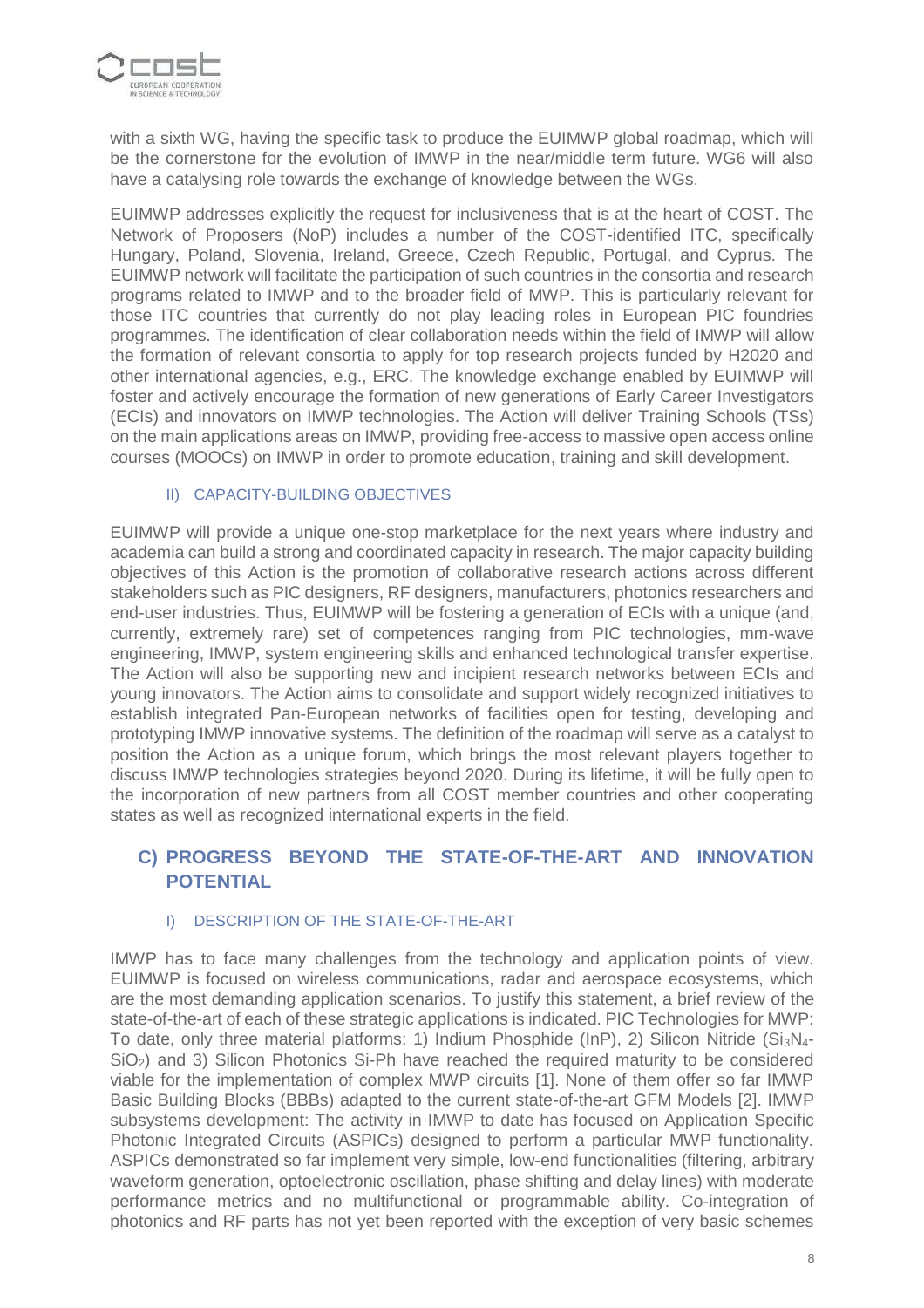

with a sixth WG, having the specific task to produce the EUIMWP global roadmap, which will be the cornerstone for the evolution of IMWP in the near/middle term future. WG6 will also have a catalysing role towards the exchange of knowledge between the WGs.

EUIMWP addresses explicitly the request for inclusiveness that is at the heart of COST. The Network of Proposers (NoP) includes a number of the COST-identified ITC, specifically Hungary, Poland, Slovenia, Ireland, Greece, Czech Republic, Portugal, and Cyprus. The EUIMWP network will facilitate the participation of such countries in the consortia and research programs related to IMWP and to the broader field of MWP. This is particularly relevant for those ITC countries that currently do not play leading roles in European PIC foundries programmes. The identification of clear collaboration needs within the field of IMWP will allow the formation of relevant consortia to apply for top research projects funded by H2020 and other international agencies, e.g., ERC. The knowledge exchange enabled by EUIMWP will foster and actively encourage the formation of new generations of Early Career Investigators (ECIs) and innovators on IMWP technologies. The Action will deliver Training Schools (TSs) on the main applications areas on IMWP, providing free-access to massive open access online courses (MOOCs) on IMWP in order to promote education, training and skill development.

#### II) CAPACITY-BUILDING OBJECTIVES

EUIMWP will provide a unique one-stop marketplace for the next years where industry and academia can build a strong and coordinated capacity in research. The major capacity building objectives of this Action is the promotion of collaborative research actions across different stakeholders such as PIC designers, RF designers, manufacturers, photonics researchers and end-user industries. Thus, EUIMWP will be fostering a generation of ECIs with a unique (and, currently, extremely rare) set of competences ranging from PIC technologies, mm-wave engineering, IMWP, system engineering skills and enhanced technological transfer expertise. The Action will also be supporting new and incipient research networks between ECIs and young innovators. The Action aims to consolidate and support widely recognized initiatives to establish integrated Pan-European networks of facilities open for testing, developing and prototyping IMWP innovative systems. The definition of the roadmap will serve as a catalyst to position the Action as a unique forum, which brings the most relevant players together to discuss IMWP technologies strategies beyond 2020. During its lifetime, it will be fully open to the incorporation of new partners from all COST member countries and other cooperating states as well as recognized international experts in the field.

## **C) PROGRESS BEYOND THE STATE-OF-THE-ART AND INNOVATION POTENTIAL**

### I) DESCRIPTION OF THE STATE-OF-THE-ART

IMWP has to face many challenges from the technology and application points of view. EUIMWP is focused on wireless communications, radar and aerospace ecosystems, which are the most demanding application scenarios. To justify this statement, a brief review of the state-of-the-art of each of these strategic applications is indicated. PIC Technologies for MWP: To date, only three material platforms: 1) Indium Phosphide (InP), 2) Silicon Nitride  $(Si<sub>3</sub>N<sub>4</sub>$ -SiO2) and 3) Silicon Photonics Si-Ph have reached the required maturity to be considered viable for the implementation of complex MWP circuits [1]. None of them offer so far IMWP Basic Building Blocks (BBBs) adapted to the current state-of-the-art GFM Models [2]. IMWP subsystems development: The activity in IMWP to date has focused on Application Specific Photonic Integrated Circuits (ASPICs) designed to perform a particular MWP functionality. ASPICs demonstrated so far implement very simple, low-end functionalities (filtering, arbitrary waveform generation, optoelectronic oscillation, phase shifting and delay lines) with moderate performance metrics and no multifunctional or programmable ability. Co-integration of photonics and RF parts has not yet been reported with the exception of very basic schemes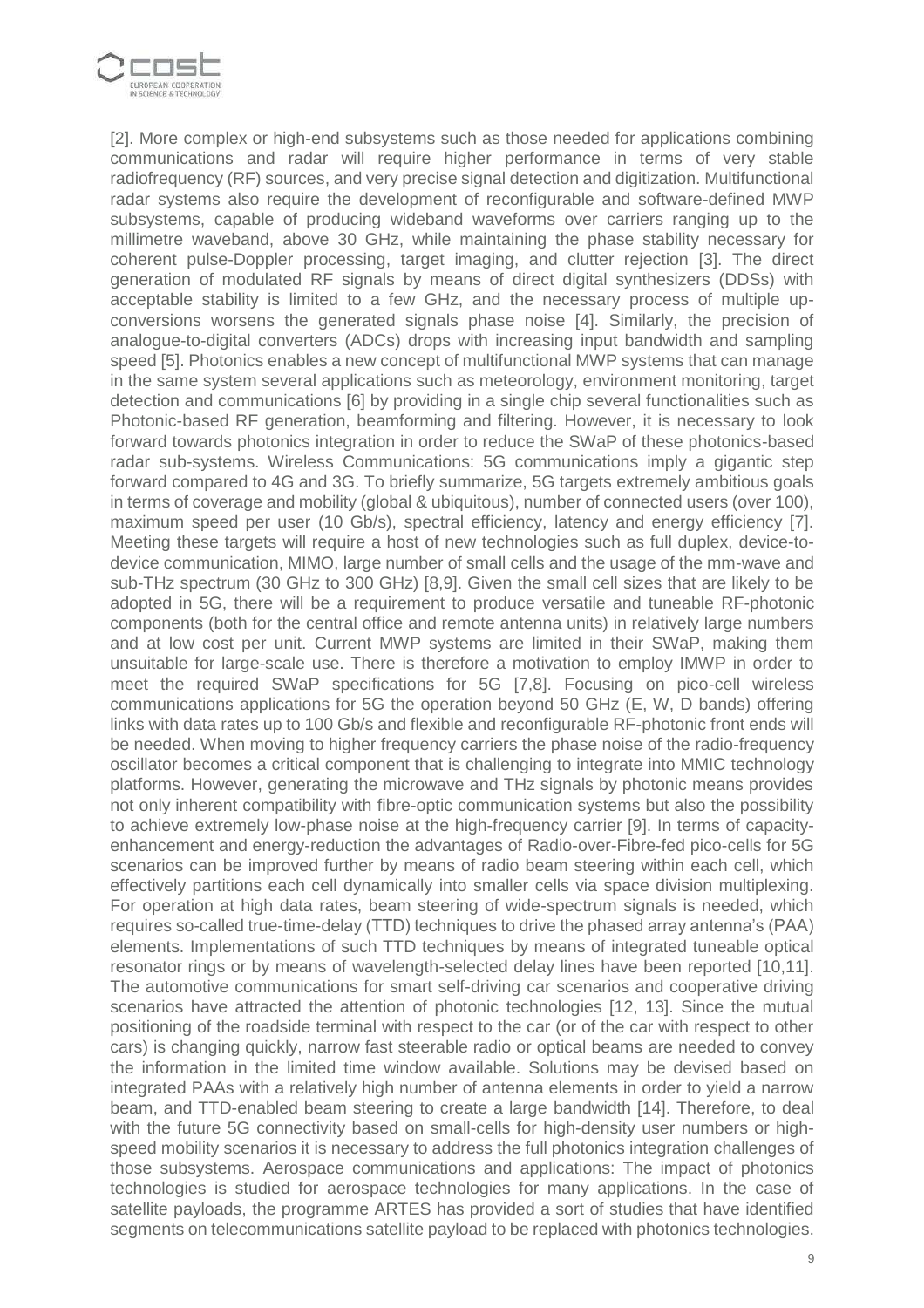

[2]. More complex or high-end subsystems such as those needed for applications combining communications and radar will require higher performance in terms of very stable radiofrequency (RF) sources, and very precise signal detection and digitization. Multifunctional radar systems also require the development of reconfigurable and software-defined MWP subsystems, capable of producing wideband waveforms over carriers ranging up to the millimetre waveband, above 30 GHz, while maintaining the phase stability necessary for coherent pulse-Doppler processing, target imaging, and clutter rejection [3]. The direct generation of modulated RF signals by means of direct digital synthesizers (DDSs) with acceptable stability is limited to a few GHz, and the necessary process of multiple upconversions worsens the generated signals phase noise [4]. Similarly, the precision of analogue-to-digital converters (ADCs) drops with increasing input bandwidth and sampling speed [5]. Photonics enables a new concept of multifunctional MWP systems that can manage in the same system several applications such as meteorology, environment monitoring, target detection and communications [6] by providing in a single chip several functionalities such as Photonic-based RF generation, beamforming and filtering. However, it is necessary to look forward towards photonics integration in order to reduce the SWaP of these photonics-based radar sub-systems. Wireless Communications: 5G communications imply a gigantic step forward compared to 4G and 3G. To briefly summarize, 5G targets extremely ambitious goals in terms of coverage and mobility (global & ubiquitous), number of connected users (over 100), maximum speed per user (10 Gb/s), spectral efficiency, latency and energy efficiency [7]. Meeting these targets will require a host of new technologies such as full duplex, device-todevice communication, MIMO, large number of small cells and the usage of the mm-wave and sub-THz spectrum (30 GHz to 300 GHz) [8,9]. Given the small cell sizes that are likely to be adopted in 5G, there will be a requirement to produce versatile and tuneable RF-photonic components (both for the central office and remote antenna units) in relatively large numbers and at low cost per unit. Current MWP systems are limited in their SWaP, making them unsuitable for large-scale use. There is therefore a motivation to employ IMWP in order to meet the required SWaP specifications for 5G [7,8]. Focusing on pico-cell wireless communications applications for 5G the operation beyond 50 GHz (E, W, D bands) offering links with data rates up to 100 Gb/s and flexible and reconfigurable RF-photonic front ends will be needed. When moving to higher frequency carriers the phase noise of the radio-frequency oscillator becomes a critical component that is challenging to integrate into MMIC technology platforms. However, generating the microwave and THz signals by photonic means provides not only inherent compatibility with fibre-optic communication systems but also the possibility to achieve extremely low-phase noise at the high-frequency carrier [9]. In terms of capacityenhancement and energy-reduction the advantages of Radio-over-Fibre-fed pico-cells for 5G scenarios can be improved further by means of radio beam steering within each cell, which effectively partitions each cell dynamically into smaller cells via space division multiplexing. For operation at high data rates, beam steering of wide-spectrum signals is needed, which requires so-called true-time-delay (TTD) techniques to drive the phased array antenna's (PAA) elements. Implementations of such TTD techniques by means of integrated tuneable optical resonator rings or by means of wavelength-selected delay lines have been reported [10,11]. The automotive communications for smart self-driving car scenarios and cooperative driving scenarios have attracted the attention of photonic technologies [12, 13]. Since the mutual positioning of the roadside terminal with respect to the car (or of the car with respect to other cars) is changing quickly, narrow fast steerable radio or optical beams are needed to convey the information in the limited time window available. Solutions may be devised based on integrated PAAs with a relatively high number of antenna elements in order to yield a narrow beam, and TTD-enabled beam steering to create a large bandwidth [14]. Therefore, to deal with the future 5G connectivity based on small-cells for high-density user numbers or highspeed mobility scenarios it is necessary to address the full photonics integration challenges of those subsystems. Aerospace communications and applications: The impact of photonics technologies is studied for aerospace technologies for many applications. In the case of satellite payloads, the programme ARTES has provided a sort of studies that have identified segments on telecommunications satellite payload to be replaced with photonics technologies.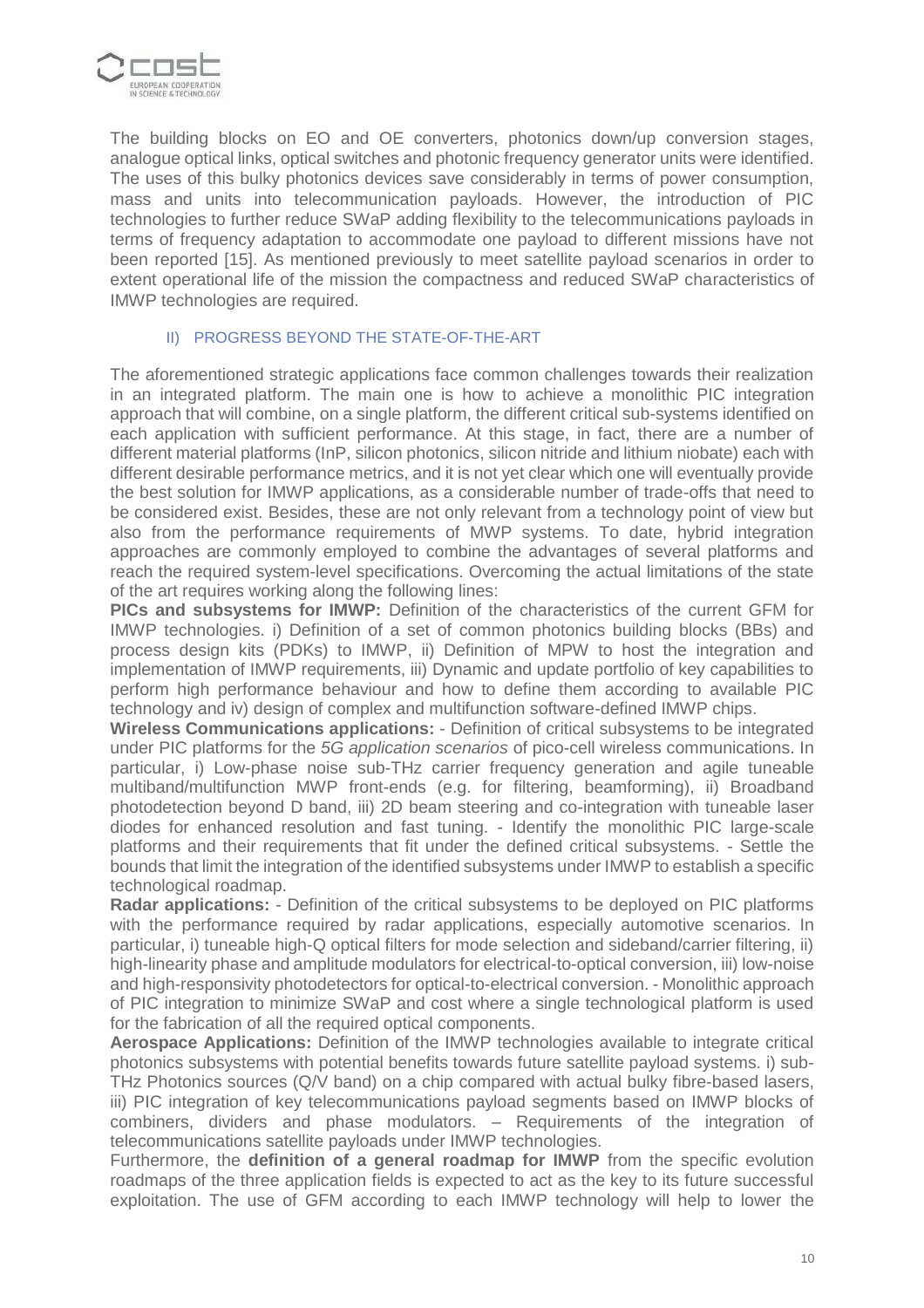

The building blocks on EO and OE converters, photonics down/up conversion stages, analogue optical links, optical switches and photonic frequency generator units were identified. The uses of this bulky photonics devices save considerably in terms of power consumption, mass and units into telecommunication payloads. However, the introduction of PIC technologies to further reduce SWaP adding flexibility to the telecommunications payloads in terms of frequency adaptation to accommodate one payload to different missions have not been reported [15]. As mentioned previously to meet satellite payload scenarios in order to extent operational life of the mission the compactness and reduced SWaP characteristics of IMWP technologies are required.

#### II) PROGRESS BEYOND THE STATE-OF-THE-ART

The aforementioned strategic applications face common challenges towards their realization in an integrated platform. The main one is how to achieve a monolithic PIC integration approach that will combine, on a single platform, the different critical sub-systems identified on each application with sufficient performance. At this stage, in fact, there are a number of different material platforms (InP, silicon photonics, silicon nitride and lithium niobate) each with different desirable performance metrics, and it is not yet clear which one will eventually provide the best solution for IMWP applications, as a considerable number of trade-offs that need to be considered exist. Besides, these are not only relevant from a technology point of view but also from the performance requirements of MWP systems. To date, hybrid integration approaches are commonly employed to combine the advantages of several platforms and reach the required system-level specifications. Overcoming the actual limitations of the state of the art requires working along the following lines:

**PICs and subsystems for IMWP:** Definition of the characteristics of the current GFM for IMWP technologies. i) Definition of a set of common photonics building blocks (BBs) and process design kits (PDKs) to IMWP, ii) Definition of MPW to host the integration and implementation of IMWP requirements, iii) Dynamic and update portfolio of key capabilities to perform high performance behaviour and how to define them according to available PIC technology and iv) design of complex and multifunction software-defined IMWP chips.

**Wireless Communications applications:** - Definition of critical subsystems to be integrated under PIC platforms for the 5G application scenarios of pico-cell wireless communications. In particular, i) Low-phase noise sub-THz carrier frequency generation and agile tuneable multiband/multifunction MWP front-ends (e.g. for filtering, beamforming), ii) Broadband photodetection beyond D band, iii) 2D beam steering and co-integration with tuneable laser diodes for enhanced resolution and fast tuning. - Identify the monolithic PIC large-scale platforms and their requirements that fit under the defined critical subsystems. - Settle the bounds that limit the integration of the identified subsystems under IMWP to establish a specific technological roadmap.

**Radar applications:** - Definition of the critical subsystems to be deployed on PIC platforms with the performance required by radar applications, especially automotive scenarios. In particular, i) tuneable high-Q optical filters for mode selection and sideband/carrier filtering, ii) high-linearity phase and amplitude modulators for electrical-to-optical conversion, iii) low-noise and high-responsivity photodetectors for optical-to-electrical conversion. - Monolithic approach of PIC integration to minimize SWaP and cost where a single technological platform is used for the fabrication of all the required optical components.

**Aerospace Applications:** Definition of the IMWP technologies available to integrate critical photonics subsystems with potential benefits towards future satellite payload systems. i) sub-THz Photonics sources (Q/V band) on a chip compared with actual bulky fibre-based lasers, iii) PIC integration of key telecommunications payload segments based on IMWP blocks of combiners, dividers and phase modulators. – Requirements of the integration of telecommunications satellite payloads under IMWP technologies.

Furthermore, the **definition of a general roadmap for IMWP** from the specific evolution roadmaps of the three application fields is expected to act as the key to its future successful exploitation. The use of GFM according to each IMWP technology will help to lower the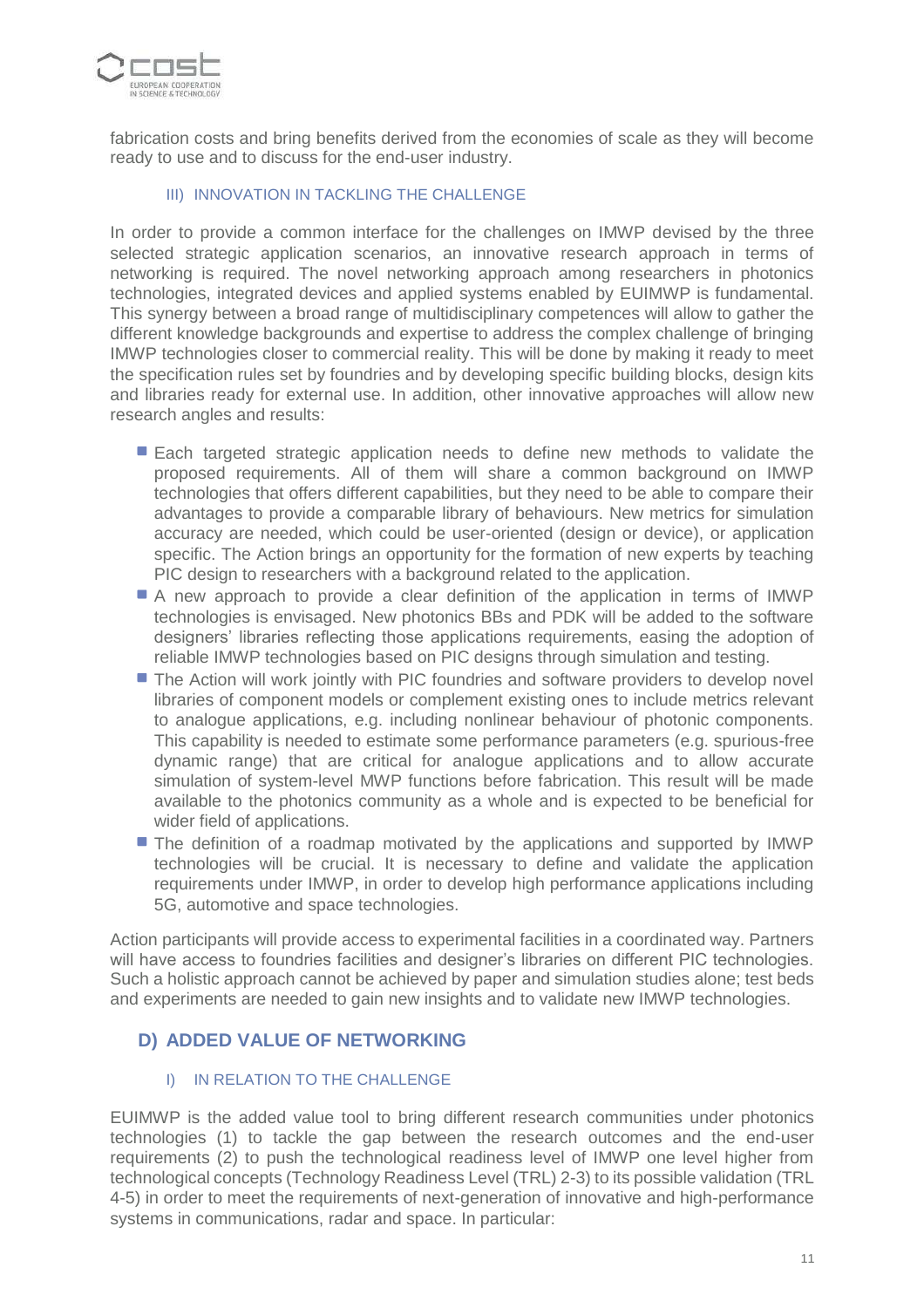

fabrication costs and bring benefits derived from the economies of scale as they will become ready to use and to discuss for the end-user industry.

#### III) INNOVATION IN TACKLING THE CHALLENGE

In order to provide a common interface for the challenges on IMWP devised by the three selected strategic application scenarios, an innovative research approach in terms of networking is required. The novel networking approach among researchers in photonics technologies, integrated devices and applied systems enabled by EUIMWP is fundamental. This synergy between a broad range of multidisciplinary competences will allow to gather the different knowledge backgrounds and expertise to address the complex challenge of bringing IMWP technologies closer to commercial reality. This will be done by making it ready to meet the specification rules set by foundries and by developing specific building blocks, design kits and libraries ready for external use. In addition, other innovative approaches will allow new research angles and results:

- Each targeted strategic application needs to define new methods to validate the proposed requirements. All of them will share a common background on IMWP technologies that offers different capabilities, but they need to be able to compare their advantages to provide a comparable library of behaviours. New metrics for simulation accuracy are needed, which could be user-oriented (design or device), or application specific. The Action brings an opportunity for the formation of new experts by teaching PIC design to researchers with a background related to the application.
- A new approach to provide a clear definition of the application in terms of IMWP technologies is envisaged. New photonics BBs and PDK will be added to the software designers' libraries reflecting those applications requirements, easing the adoption of reliable IMWP technologies based on PIC designs through simulation and testing.
- **The Action will work jointly with PIC foundries and software providers to develop novel** libraries of component models or complement existing ones to include metrics relevant to analogue applications, e.g. including nonlinear behaviour of photonic components. This capability is needed to estimate some performance parameters (e.g. spurious-free dynamic range) that are critical for analogue applications and to allow accurate simulation of system-level MWP functions before fabrication. This result will be made available to the photonics community as a whole and is expected to be beneficial for wider field of applications.
- The definition of a roadmap motivated by the applications and supported by IMWP technologies will be crucial. It is necessary to define and validate the application requirements under IMWP, in order to develop high performance applications including 5G, automotive and space technologies.

Action participants will provide access to experimental facilities in a coordinated way. Partners will have access to foundries facilities and designer's libraries on different PIC technologies. Such a holistic approach cannot be achieved by paper and simulation studies alone; test beds and experiments are needed to gain new insights and to validate new IMWP technologies.

## **D) ADDED VALUE OF NETWORKING**

## I) IN RELATION TO THE CHALLENGE

EUIMWP is the added value tool to bring different research communities under photonics technologies (1) to tackle the gap between the research outcomes and the end-user requirements (2) to push the technological readiness level of IMWP one level higher from technological concepts (Technology Readiness Level (TRL) 2-3) to its possible validation (TRL 4-5) in order to meet the requirements of next-generation of innovative and high-performance systems in communications, radar and space. In particular: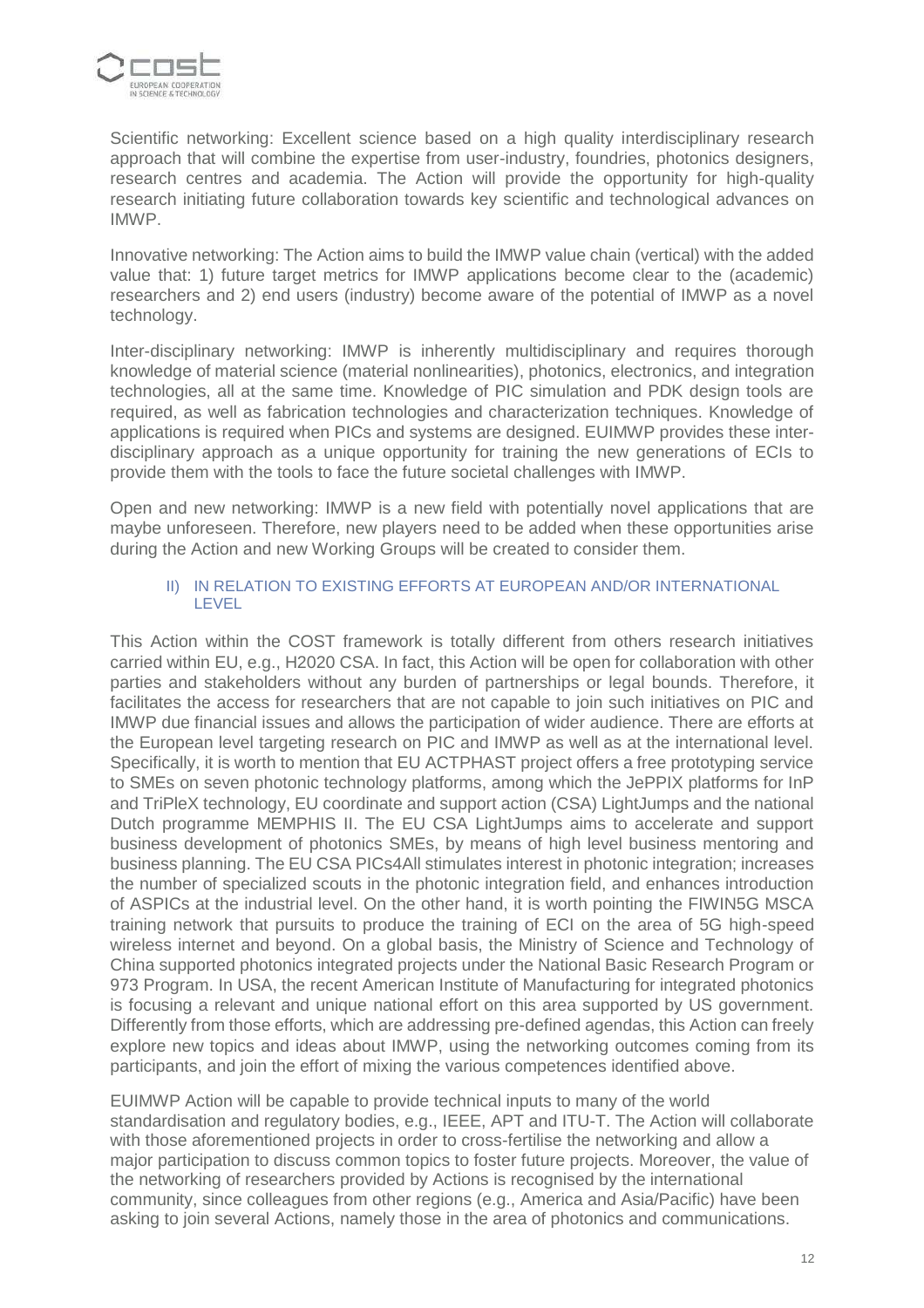

Scientific networking: Excellent science based on a high quality interdisciplinary research approach that will combine the expertise from user-industry, foundries, photonics designers, research centres and academia. The Action will provide the opportunity for high-quality research initiating future collaboration towards key scientific and technological advances on IMWP.

Innovative networking: The Action aims to build the IMWP value chain (vertical) with the added value that: 1) future target metrics for IMWP applications become clear to the (academic) researchers and 2) end users (industry) become aware of the potential of IMWP as a novel technology.

Inter-disciplinary networking: IMWP is inherently multidisciplinary and requires thorough knowledge of material science (material nonlinearities), photonics, electronics, and integration technologies, all at the same time. Knowledge of PIC simulation and PDK design tools are required, as well as fabrication technologies and characterization techniques. Knowledge of applications is required when PICs and systems are designed. EUIMWP provides these interdisciplinary approach as a unique opportunity for training the new generations of ECIs to provide them with the tools to face the future societal challenges with IMWP.

Open and new networking: IMWP is a new field with potentially novel applications that are maybe unforeseen. Therefore, new players need to be added when these opportunities arise during the Action and new Working Groups will be created to consider them.

#### II) IN RELATION TO EXISTING EFFORTS AT EUROPEAN AND/OR INTERNATIONAL LEVEL

This Action within the COST framework is totally different from others research initiatives carried within EU, e.g., H2020 CSA. In fact, this Action will be open for collaboration with other parties and stakeholders without any burden of partnerships or legal bounds. Therefore, it facilitates the access for researchers that are not capable to join such initiatives on PIC and IMWP due financial issues and allows the participation of wider audience. There are efforts at the European level targeting research on PIC and IMWP as well as at the international level. Specifically, it is worth to mention that EU ACTPHAST project offers a free prototyping service to SMEs on seven photonic technology platforms, among which the JePPIX platforms for InP and TriPleX technology, EU coordinate and support action (CSA) LightJumps and the national Dutch programme MEMPHIS II. The EU CSA LightJumps aims to accelerate and support business development of photonics SMEs, by means of high level business mentoring and business planning. The EU CSA PICs4All stimulates interest in photonic integration; increases the number of specialized scouts in the photonic integration field, and enhances introduction of ASPICs at the industrial level. On the other hand, it is worth pointing the FIWIN5G MSCA training network that pursuits to produce the training of ECI on the area of 5G high-speed wireless internet and beyond. On a global basis, the Ministry of Science and Technology of China supported photonics integrated projects under the National Basic Research Program or 973 Program. In USA, the recent American Institute of Manufacturing for integrated photonics is focusing a relevant and unique national effort on this area supported by US government. Differently from those efforts, which are addressing pre-defined agendas, this Action can freely explore new topics and ideas about IMWP, using the networking outcomes coming from its participants, and join the effort of mixing the various competences identified above.

EUIMWP Action will be capable to provide technical inputs to many of the world standardisation and regulatory bodies, e.g., IEEE, APT and ITU-T. The Action will collaborate with those aforementioned projects in order to cross-fertilise the networking and allow a major participation to discuss common topics to foster future projects. Moreover, the value of the networking of researchers provided by Actions is recognised by the international community, since colleagues from other regions (e.g., America and Asia/Pacific) have been asking to join several Actions, namely those in the area of photonics and communications.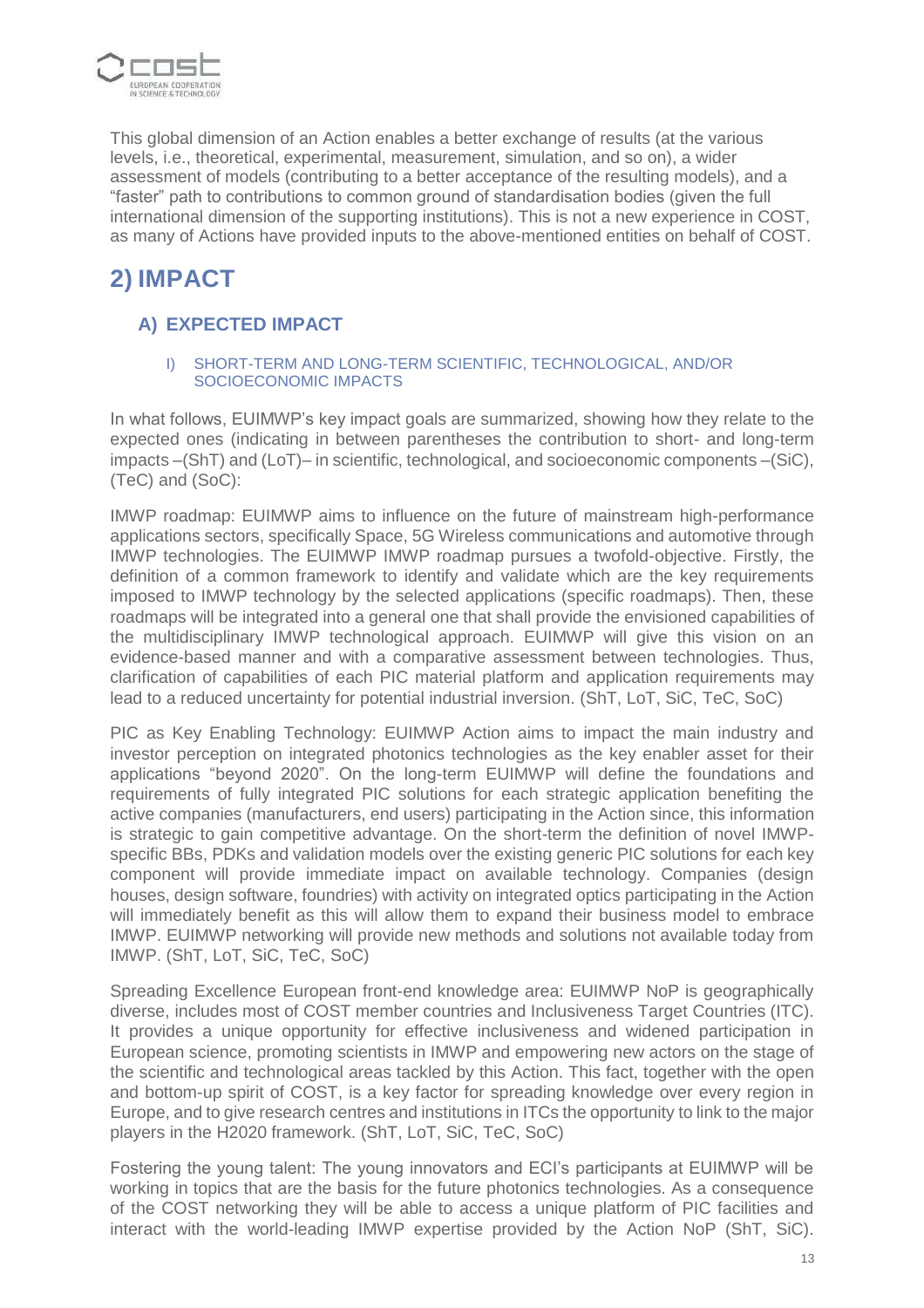

This global dimension of an Action enables a better exchange of results (at the various levels, i.e., theoretical, experimental, measurement, simulation, and so on), a wider assessment of models (contributing to a better acceptance of the resulting models), and a "faster" path to contributions to common ground of standardisation bodies (given the full international dimension of the supporting institutions). This is not a new experience in COST, as many of Actions have provided inputs to the above-mentioned entities on behalf of COST.

# **2) IMPACT**

## **A) EXPECTED IMPACT**

#### I) SHORT-TERM AND LONG-TERM SCIENTIFIC, TECHNOLOGICAL, AND/OR SOCIOECONOMIC IMPACTS

In what follows, EUIMWP's key impact goals are summarized, showing how they relate to the expected ones (indicating in between parentheses the contribution to short- and long-term impacts –(ShT) and (LoT)– in scientific, technological, and socioeconomic components –(SiC), (TeC) and (SoC):

IMWP roadmap: EUIMWP aims to influence on the future of mainstream high-performance applications sectors, specifically Space, 5G Wireless communications and automotive through IMWP technologies. The EUIMWP IMWP roadmap pursues a twofold-objective. Firstly, the definition of a common framework to identify and validate which are the key requirements imposed to IMWP technology by the selected applications (specific roadmaps). Then, these roadmaps will be integrated into a general one that shall provide the envisioned capabilities of the multidisciplinary IMWP technological approach. EUIMWP will give this vision on an evidence-based manner and with a comparative assessment between technologies. Thus, clarification of capabilities of each PIC material platform and application requirements may lead to a reduced uncertainty for potential industrial inversion. (ShT, LoT, SiC, TeC, SoC)

PIC as Key Enabling Technology: EUIMWP Action aims to impact the main industry and investor perception on integrated photonics technologies as the key enabler asset for their applications "beyond 2020". On the long-term EUIMWP will define the foundations and requirements of fully integrated PIC solutions for each strategic application benefiting the active companies (manufacturers, end users) participating in the Action since, this information is strategic to gain competitive advantage. On the short-term the definition of novel IMWPspecific BBs, PDKs and validation models over the existing generic PIC solutions for each key component will provide immediate impact on available technology. Companies (design houses, design software, foundries) with activity on integrated optics participating in the Action will immediately benefit as this will allow them to expand their business model to embrace IMWP. EUIMWP networking will provide new methods and solutions not available today from IMWP. (ShT, LoT, SiC, TeC, SoC)

Spreading Excellence European front-end knowledge area: EUIMWP NoP is geographically diverse, includes most of COST member countries and Inclusiveness Target Countries (ITC). It provides a unique opportunity for effective inclusiveness and widened participation in European science, promoting scientists in IMWP and empowering new actors on the stage of the scientific and technological areas tackled by this Action. This fact, together with the open and bottom-up spirit of COST, is a key factor for spreading knowledge over every region in Europe, and to give research centres and institutions in ITCs the opportunity to link to the major players in the H2020 framework. (ShT, LoT, SiC, TeC, SoC)

Fostering the young talent: The young innovators and ECI's participants at EUIMWP will be working in topics that are the basis for the future photonics technologies. As a consequence of the COST networking they will be able to access a unique platform of PIC facilities and interact with the world-leading IMWP expertise provided by the Action NoP (ShT, SiC).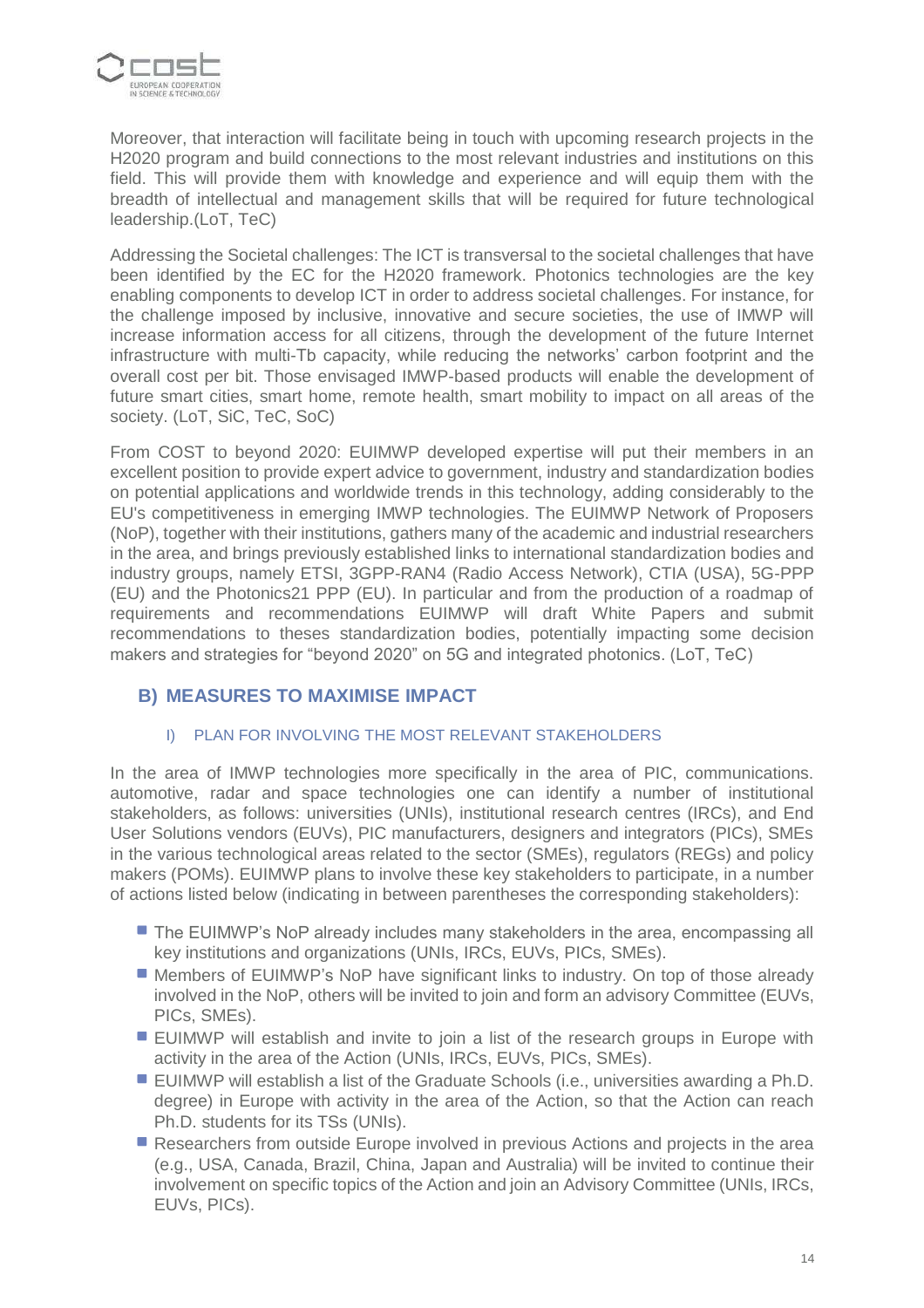

Moreover, that interaction will facilitate being in touch with upcoming research projects in the H2020 program and build connections to the most relevant industries and institutions on this field. This will provide them with knowledge and experience and will equip them with the breadth of intellectual and management skills that will be required for future technological leadership.(LoT, TeC)

Addressing the Societal challenges: The ICT is transversal to the societal challenges that have been identified by the EC for the H2020 framework. Photonics technologies are the key enabling components to develop ICT in order to address societal challenges. For instance, for the challenge imposed by inclusive, innovative and secure societies, the use of IMWP will increase information access for all citizens, through the development of the future Internet infrastructure with multi-Tb capacity, while reducing the networks' carbon footprint and the overall cost per bit. Those envisaged IMWP-based products will enable the development of future smart cities, smart home, remote health, smart mobility to impact on all areas of the society. (LoT, SiC, TeC, SoC)

From COST to beyond 2020: EUIMWP developed expertise will put their members in an excellent position to provide expert advice to government, industry and standardization bodies on potential applications and worldwide trends in this technology, adding considerably to the EU's competitiveness in emerging IMWP technologies. The EUIMWP Network of Proposers (NoP), together with their institutions, gathers many of the academic and industrial researchers in the area, and brings previously established links to international standardization bodies and industry groups, namely ETSI, 3GPP-RAN4 (Radio Access Network), CTIA (USA), 5G-PPP (EU) and the Photonics21 PPP (EU). In particular and from the production of a roadmap of requirements and recommendations EUIMWP will draft White Papers and submit recommendations to theses standardization bodies, potentially impacting some decision makers and strategies for "beyond 2020" on 5G and integrated photonics. (LoT, TeC)

## **B) MEASURES TO MAXIMISE IMPACT**

## I) PLAN FOR INVOLVING THE MOST RELEVANT STAKEHOLDERS

In the area of IMWP technologies more specifically in the area of PIC, communications. automotive, radar and space technologies one can identify a number of institutional stakeholders, as follows: universities (UNIs), institutional research centres (IRCs), and End User Solutions vendors (EUVs), PIC manufacturers, designers and integrators (PICs), SMEs in the various technological areas related to the sector (SMEs), regulators (REGs) and policy makers (POMs). EUIMWP plans to involve these key stakeholders to participate, in a number of actions listed below (indicating in between parentheses the corresponding stakeholders):

- **The EUIMWP's NoP already includes many stakeholders in the area, encompassing all** key institutions and organizations (UNIs, IRCs, EUVs, PICs, SMEs).
- Members of EUIMWP's NoP have significant links to industry. On top of those already involved in the NoP, others will be invited to join and form an advisory Committee (EUVs, PICs, SMEs).
- EUIMWP will establish and invite to join a list of the research groups in Europe with activity in the area of the Action (UNIs, IRCs, EUVs, PICs, SMEs).
- EUIMWP will establish a list of the Graduate Schools (i.e., universities awarding a Ph.D. degree) in Europe with activity in the area of the Action, so that the Action can reach Ph.D. students for its TSs (UNIs).
- Researchers from outside Europe involved in previous Actions and projects in the area (e.g., USA, Canada, Brazil, China, Japan and Australia) will be invited to continue their involvement on specific topics of the Action and join an Advisory Committee (UNIs, IRCs, EUVs, PICs).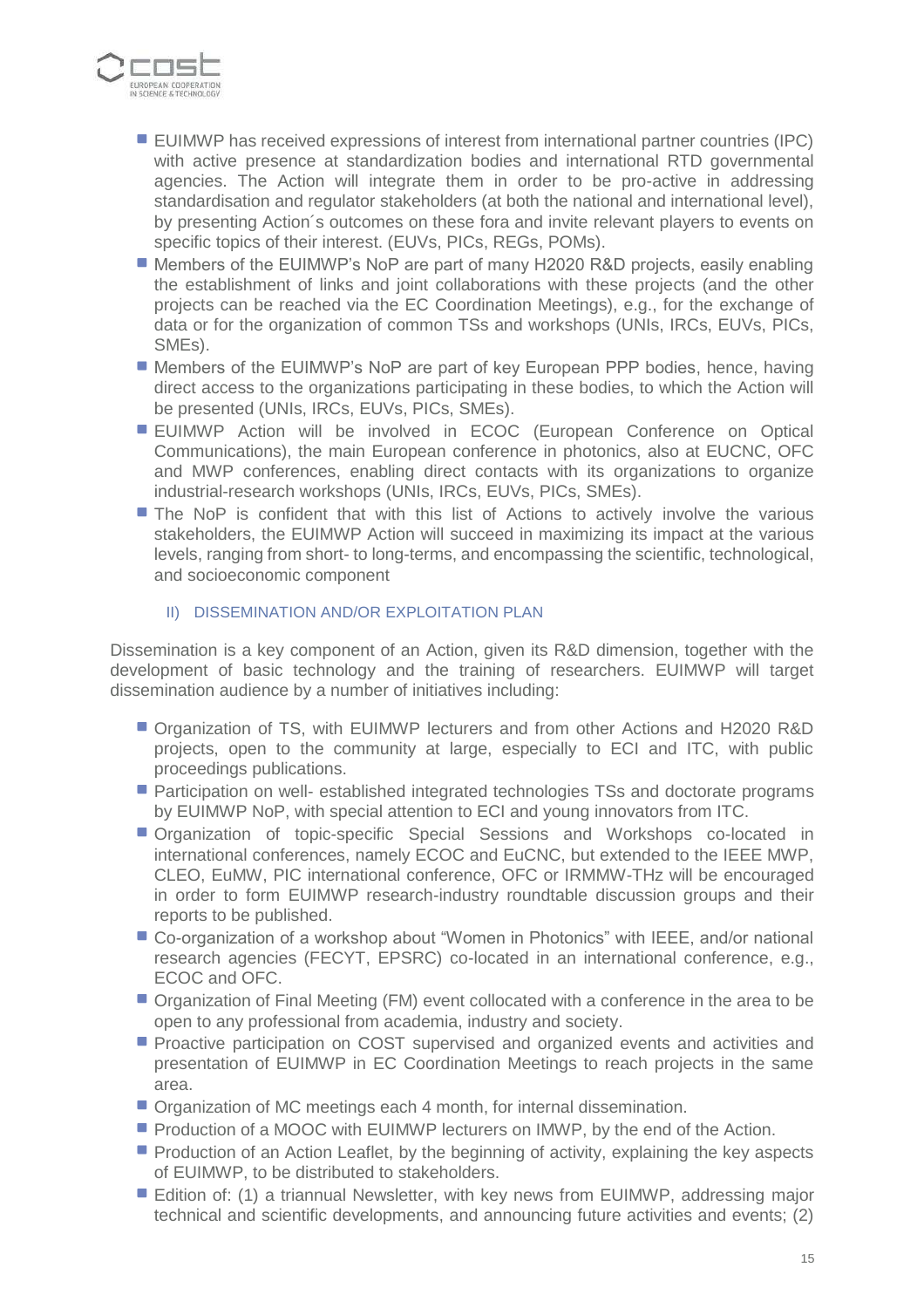

- EUIMWP has received expressions of interest from international partner countries (IPC) with active presence at standardization bodies and international RTD governmental agencies. The Action will integrate them in order to be pro-active in addressing standardisation and regulator stakeholders (at both the national and international level), by presenting Action´s outcomes on these fora and invite relevant players to events on specific topics of their interest. (EUVs, PICs, REGs, POMs).
- Members of the EUIMWP's NoP are part of many H2020 R&D projects, easily enabling the establishment of links and joint collaborations with these projects (and the other projects can be reached via the EC Coordination Meetings), e.g., for the exchange of data or for the organization of common TSs and workshops (UNIs, IRCs, EUVs, PICs, SMEs).
- Members of the EUIMWP's NoP are part of key European PPP bodies, hence, having direct access to the organizations participating in these bodies, to which the Action will be presented (UNIs, IRCs, EUVs, PICs, SMEs).
- **EUIMWP** Action will be involved in ECOC (European Conference on Optical Communications), the main European conference in photonics, also at EUCNC, OFC and MWP conferences, enabling direct contacts with its organizations to organize industrial-research workshops (UNIs, IRCs, EUVs, PICs, SMEs).
- **The NoP** is confident that with this list of Actions to actively involve the various stakeholders, the EUIMWP Action will succeed in maximizing its impact at the various levels, ranging from short- to long-terms, and encompassing the scientific, technological, and socioeconomic component
	- II) DISSEMINATION AND/OR EXPLOITATION PLAN

Dissemination is a key component of an Action, given its R&D dimension, together with the development of basic technology and the training of researchers. EUIMWP will target dissemination audience by a number of initiatives including:

- Organization of TS, with EUIMWP lecturers and from other Actions and H2020 R&D projects, open to the community at large, especially to ECI and ITC, with public proceedings publications.
- **Participation on well-established integrated technologies TSs and doctorate programs** by EUIMWP NoP, with special attention to ECI and young innovators from ITC.
- Organization of topic-specific Special Sessions and Workshops co-located in international conferences, namely ECOC and EuCNC, but extended to the IEEE MWP, CLEO, EuMW, PIC international conference, OFC or IRMMW-THz will be encouraged in order to form EUIMWP research-industry roundtable discussion groups and their reports to be published.
- Co-organization of a workshop about "Women in Photonics" with IEEE, and/or national research agencies (FECYT, EPSRC) co-located in an international conference, e.g., ECOC and OFC.
- Organization of Final Meeting (FM) event collocated with a conference in the area to be open to any professional from academia, industry and society.
- **Proactive participation on COST supervised and organized events and activities and** presentation of EUIMWP in EC Coordination Meetings to reach projects in the same area.
- **Organization of MC meetings each 4 month, for internal dissemination.**
- **Production of a MOOC with EUIMWP lecturers on IMWP, by the end of the Action.**
- **Production of an Action Leaflet, by the beginning of activity, explaining the key aspects** of EUIMWP, to be distributed to stakeholders.
- Edition of: (1) a triannual Newsletter, with key news from EUIMWP, addressing major technical and scientific developments, and announcing future activities and events; (2)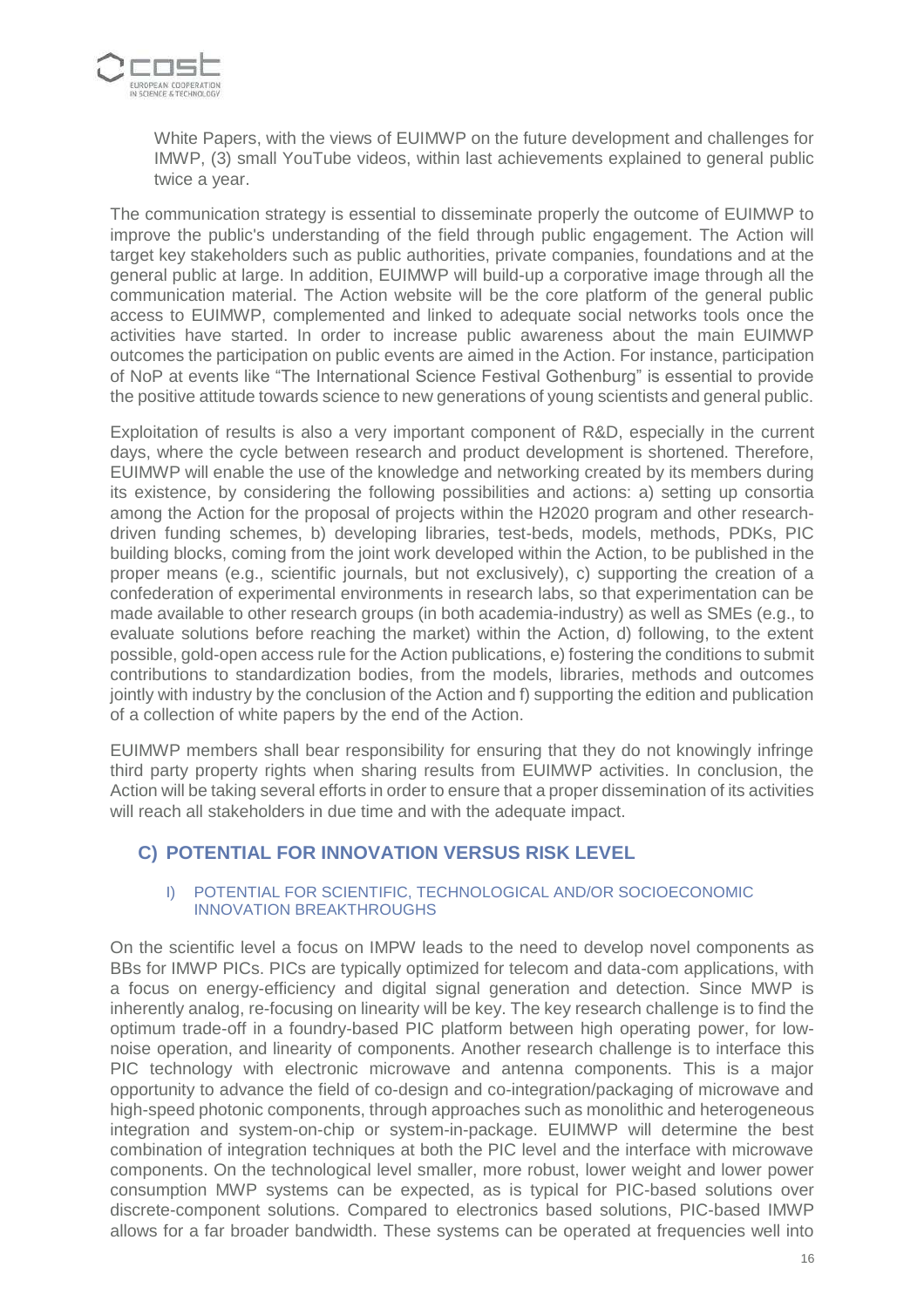

White Papers, with the views of EUIMWP on the future development and challenges for IMWP, (3) small YouTube videos, within last achievements explained to general public twice a year.

The communication strategy is essential to disseminate properly the outcome of EUIMWP to improve the public's understanding of the field through public engagement. The Action will target key stakeholders such as public authorities, private companies, foundations and at the general public at large. In addition, EUIMWP will build-up a corporative image through all the communication material. The Action website will be the core platform of the general public access to EUIMWP, complemented and linked to adequate social networks tools once the activities have started. In order to increase public awareness about the main EUIMWP outcomes the participation on public events are aimed in the Action. For instance, participation of NoP at events like "The International Science Festival Gothenburg" is essential to provide the positive attitude towards science to new generations of young scientists and general public.

Exploitation of results is also a very important component of R&D, especially in the current days, where the cycle between research and product development is shortened. Therefore, EUIMWP will enable the use of the knowledge and networking created by its members during its existence, by considering the following possibilities and actions: a) setting up consortia among the Action for the proposal of projects within the H2020 program and other researchdriven funding schemes, b) developing libraries, test-beds, models, methods, PDKs, PIC building blocks, coming from the joint work developed within the Action, to be published in the proper means (e.g., scientific journals, but not exclusively), c) supporting the creation of a confederation of experimental environments in research labs, so that experimentation can be made available to other research groups (in both academia-industry) as well as SMEs (e.g., to evaluate solutions before reaching the market) within the Action, d) following, to the extent possible, gold-open access rule for the Action publications, e) fostering the conditions to submit contributions to standardization bodies, from the models, libraries, methods and outcomes jointly with industry by the conclusion of the Action and f) supporting the edition and publication of a collection of white papers by the end of the Action.

EUIMWP members shall bear responsibility for ensuring that they do not knowingly infringe third party property rights when sharing results from EUIMWP activities. In conclusion, the Action will be taking several efforts in order to ensure that a proper dissemination of its activities will reach all stakeholders in due time and with the adequate impact.

## **C) POTENTIAL FOR INNOVATION VERSUS RISK LEVEL**

#### I) POTENTIAL FOR SCIENTIFIC, TECHNOLOGICAL AND/OR SOCIOECONOMIC INNOVATION BREAKTHROUGHS

On the scientific level a focus on IMPW leads to the need to develop novel components as BBs for IMWP PICs. PICs are typically optimized for telecom and data-com applications, with a focus on energy-efficiency and digital signal generation and detection. Since MWP is inherently analog, re-focusing on linearity will be key. The key research challenge is to find the optimum trade-off in a foundry-based PIC platform between high operating power, for lownoise operation, and linearity of components. Another research challenge is to interface this PIC technology with electronic microwave and antenna components. This is a major opportunity to advance the field of co-design and co-integration/packaging of microwave and high-speed photonic components, through approaches such as monolithic and heterogeneous integration and system-on-chip or system-in-package. EUIMWP will determine the best combination of integration techniques at both the PIC level and the interface with microwave components. On the technological level smaller, more robust, lower weight and lower power consumption MWP systems can be expected, as is typical for PIC-based solutions over discrete-component solutions. Compared to electronics based solutions, PIC-based IMWP allows for a far broader bandwidth. These systems can be operated at frequencies well into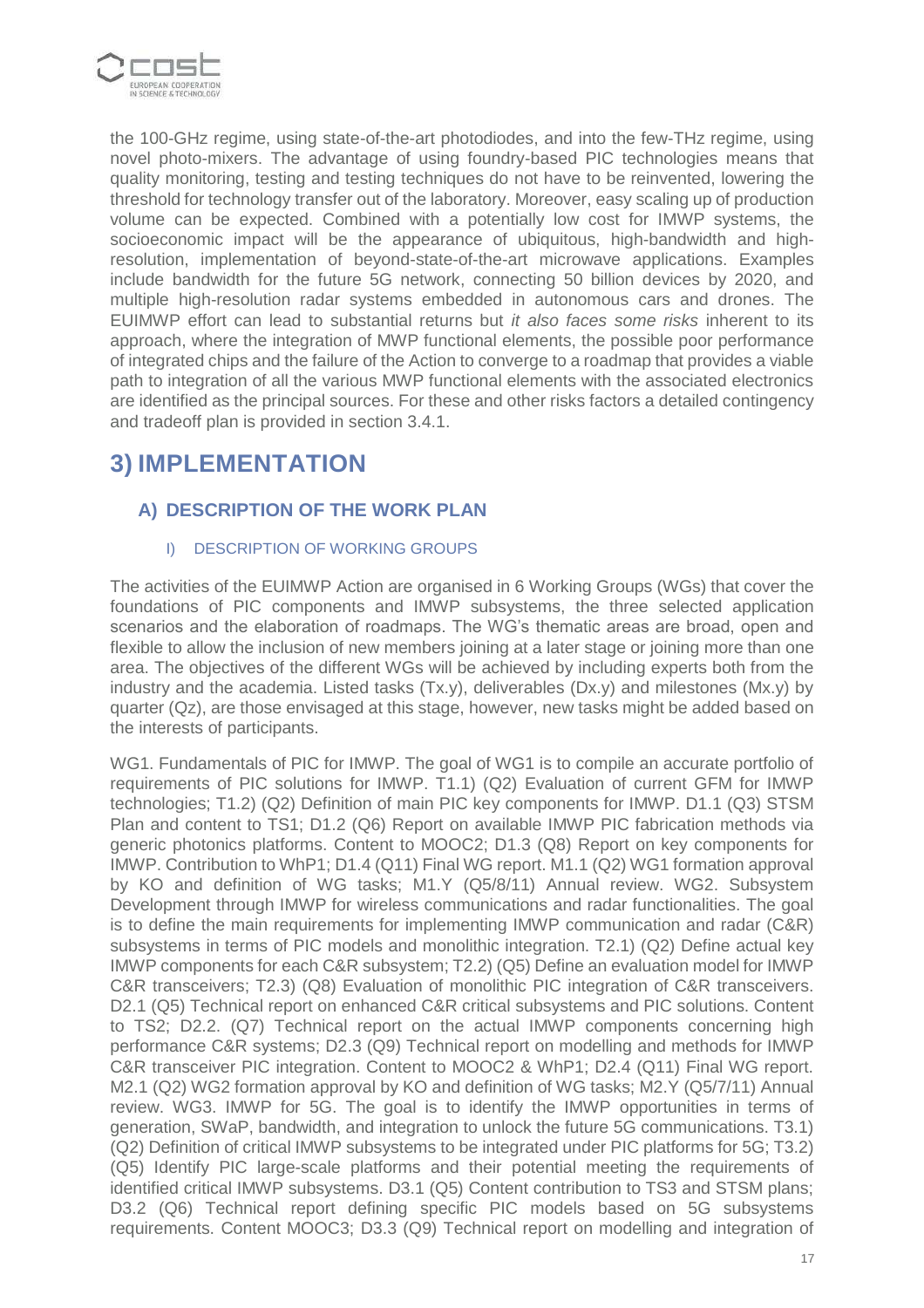

the 100-GHz regime, using state-of-the-art photodiodes, and into the few-THz regime, using novel photo-mixers. The advantage of using foundry-based PIC technologies means that quality monitoring, testing and testing techniques do not have to be reinvented, lowering the threshold for technology transfer out of the laboratory. Moreover, easy scaling up of production volume can be expected. Combined with a potentially low cost for IMWP systems, the socioeconomic impact will be the appearance of ubiquitous, high-bandwidth and highresolution, implementation of beyond-state-of-the-art microwave applications. Examples include bandwidth for the future 5G network, connecting 50 billion devices by 2020, and multiple high-resolution radar systems embedded in autonomous cars and drones. The EUIMWP effort can lead to substantial returns but *it also faces some risks* inherent to its approach, where the integration of MWP functional elements, the possible poor performance of integrated chips and the failure of the Action to converge to a roadmap that provides a viable path to integration of all the various MWP functional elements with the associated electronics are identified as the principal sources. For these and other risks factors a detailed contingency and tradeoff plan is provided in section 3.4.1.

# **3) IMPLEMENTATION**

# **A) DESCRIPTION OF THE WORK PLAN**

## I) DESCRIPTION OF WORKING GROUPS

The activities of the EUIMWP Action are organised in 6 Working Groups (WGs) that cover the foundations of PIC components and IMWP subsystems, the three selected application scenarios and the elaboration of roadmaps. The WG's thematic areas are broad, open and flexible to allow the inclusion of new members joining at a later stage or joining more than one area. The objectives of the different WGs will be achieved by including experts both from the industry and the academia. Listed tasks (Tx.y), deliverables (Dx.y) and milestones (Mx.y) by quarter (Qz), are those envisaged at this stage, however, new tasks might be added based on the interests of participants.

WG1. Fundamentals of PIC for IMWP. The goal of WG1 is to compile an accurate portfolio of requirements of PIC solutions for IMWP. T1.1) (Q2) Evaluation of current GFM for IMWP technologies; T1.2) (Q2) Definition of main PIC key components for IMWP. D1.1 (Q3) STSM Plan and content to TS1; D1.2 (Q6) Report on available IMWP PIC fabrication methods via generic photonics platforms. Content to MOOC2; D1.3 (Q8) Report on key components for IMWP. Contribution to WhP1; D1.4 (Q11) Final WG report. M1.1 (Q2) WG1 formation approval by KO and definition of WG tasks; M1.Y (Q5/8/11) Annual review. WG2. Subsystem Development through IMWP for wireless communications and radar functionalities. The goal is to define the main requirements for implementing IMWP communication and radar (C&R) subsystems in terms of PIC models and monolithic integration. T2.1) (Q2) Define actual key IMWP components for each C&R subsystem; T2.2) (Q5) Define an evaluation model for IMWP C&R transceivers; T2.3) (Q8) Evaluation of monolithic PIC integration of C&R transceivers. D2.1 (Q5) Technical report on enhanced C&R critical subsystems and PIC solutions. Content to TS2; D2.2. (Q7) Technical report on the actual IMWP components concerning high performance C&R systems; D2.3 (Q9) Technical report on modelling and methods for IMWP C&R transceiver PIC integration. Content to MOOC2 & WhP1; D2.4 (Q11) Final WG report. M2.1 (Q2) WG2 formation approval by KO and definition of WG tasks; M2.Y (Q5/7/11) Annual review. WG3. IMWP for 5G. The goal is to identify the IMWP opportunities in terms of generation, SWaP, bandwidth, and integration to unlock the future 5G communications. T3.1) (Q2) Definition of critical IMWP subsystems to be integrated under PIC platforms for 5G; T3.2) (Q5) Identify PIC large-scale platforms and their potential meeting the requirements of identified critical IMWP subsystems. D3.1 (Q5) Content contribution to TS3 and STSM plans; D3.2 (Q6) Technical report defining specific PIC models based on 5G subsystems requirements. Content MOOC3; D3.3 (Q9) Technical report on modelling and integration of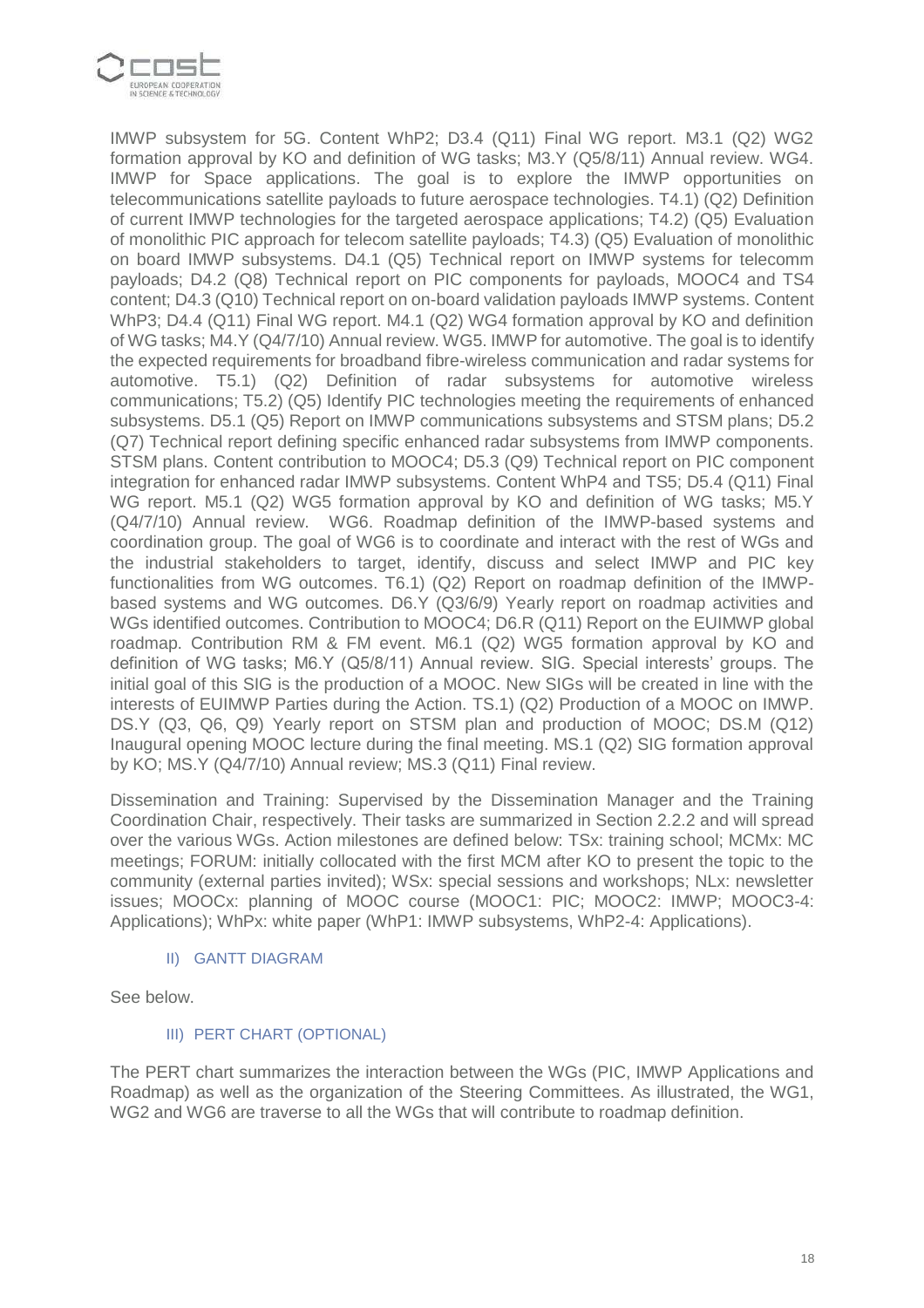

IMWP subsystem for 5G. Content WhP2; D3.4 (Q11) Final WG report. M3.1 (Q2) WG2 formation approval by KO and definition of WG tasks; M3.Y (Q5/8/11) Annual review. WG4. IMWP for Space applications. The goal is to explore the IMWP opportunities on telecommunications satellite payloads to future aerospace technologies. T4.1) (Q2) Definition of current IMWP technologies for the targeted aerospace applications; T4.2) (Q5) Evaluation of monolithic PIC approach for telecom satellite payloads; T4.3) (Q5) Evaluation of monolithic on board IMWP subsystems. D4.1 (Q5) Technical report on IMWP systems for telecomm payloads; D4.2 (Q8) Technical report on PIC components for payloads, MOOC4 and TS4 content; D4.3 (Q10) Technical report on on-board validation payloads IMWP systems. Content WhP3; D4.4 (Q11) Final WG report. M4.1 (Q2) WG4 formation approval by KO and definition of WG tasks; M4.Y (Q4/7/10) Annual review. WG5. IMWP for automotive. The goal is to identify the expected requirements for broadband fibre-wireless communication and radar systems for automotive. T5.1) (Q2) Definition of radar subsystems for automotive wireless communications; T5.2) (Q5) Identify PIC technologies meeting the requirements of enhanced subsystems. D5.1 (Q5) Report on IMWP communications subsystems and STSM plans; D5.2 (Q7) Technical report defining specific enhanced radar subsystems from IMWP components. STSM plans. Content contribution to MOOC4; D5.3 (Q9) Technical report on PIC component integration for enhanced radar IMWP subsystems. Content WhP4 and TS5; D5.4 (Q11) Final WG report. M5.1 (Q2) WG5 formation approval by KO and definition of WG tasks; M5.Y (Q4/7/10) Annual review. WG6. Roadmap definition of the IMWP-based systems and coordination group. The goal of WG6 is to coordinate and interact with the rest of WGs and the industrial stakeholders to target, identify, discuss and select IMWP and PIC key functionalities from WG outcomes. T6.1) (Q2) Report on roadmap definition of the IMWPbased systems and WG outcomes. D6.Y (Q3/6/9) Yearly report on roadmap activities and WGs identified outcomes. Contribution to MOOC4; D6.R (Q11) Report on the EUIMWP global roadmap. Contribution RM & FM event. M6.1 (Q2) WG5 formation approval by KO and definition of WG tasks; M6.Y (Q5/8/11) Annual review. SIG. Special interests' groups. The initial goal of this SIG is the production of a MOOC. New SIGs will be created in line with the interests of EUIMWP Parties during the Action. TS.1) (Q2) Production of a MOOC on IMWP. DS.Y (Q3, Q6, Q9) Yearly report on STSM plan and production of MOOC; DS.M (Q12) Inaugural opening MOOC lecture during the final meeting. MS.1 (Q2) SIG formation approval by KO; MS.Y (Q4/7/10) Annual review; MS.3 (Q11) Final review.

Dissemination and Training: Supervised by the Dissemination Manager and the Training Coordination Chair, respectively. Their tasks are summarized in Section 2.2.2 and will spread over the various WGs. Action milestones are defined below: TSx: training school; MCMx: MC meetings; FORUM: initially collocated with the first MCM after KO to present the topic to the community (external parties invited); WSx: special sessions and workshops; NLx: newsletter issues; MOOCx: planning of MOOC course (MOOC1: PIC; MOOC2: IMWP; MOOC3-4: Applications); WhPx: white paper (WhP1: IMWP subsystems, WhP2-4: Applications).

#### II) GANTT DIAGRAM

See below.

### III) PERT CHART (OPTIONAL)

The PERT chart summarizes the interaction between the WGs (PIC, IMWP Applications and Roadmap) as well as the organization of the Steering Committees. As illustrated, the WG1, WG2 and WG6 are traverse to all the WGs that will contribute to roadmap definition.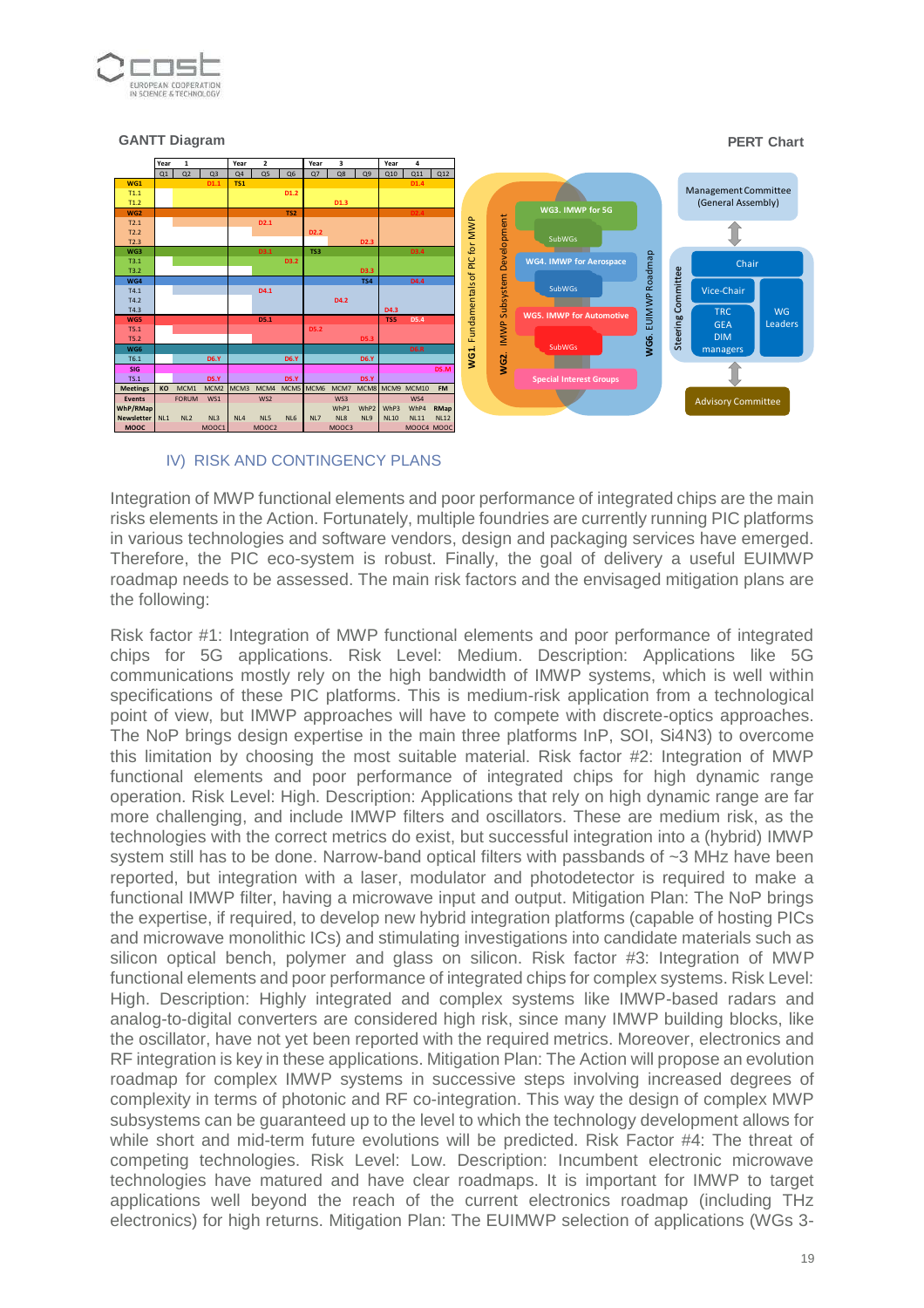

#### **GANTT Diagram PERT Chart**



#### IV) RISK AND CONTINGENCY PLANS

Integration of MWP functional elements and poor performance of integrated chips are the main risks elements in the Action. Fortunately, multiple foundries are currently running PIC platforms in various technologies and software vendors, design and packaging services have emerged. Therefore, the PIC eco-system is robust. Finally, the goal of delivery a useful EUIMWP roadmap needs to be assessed. The main risk factors and the envisaged mitigation plans are the following:

Risk factor #1: Integration of MWP functional elements and poor performance of integrated chips for 5G applications. Risk Level: Medium. Description: Applications like 5G communications mostly rely on the high bandwidth of IMWP systems, which is well within specifications of these PIC platforms. This is medium-risk application from a technological point of view, but IMWP approaches will have to compete with discrete-optics approaches. The NoP brings design expertise in the main three platforms InP, SOI, Si4N3) to overcome this limitation by choosing the most suitable material. Risk factor #2: Integration of MWP functional elements and poor performance of integrated chips for high dynamic range operation. Risk Level: High. Description: Applications that rely on high dynamic range are far more challenging, and include IMWP filters and oscillators. These are medium risk, as the technologies with the correct metrics do exist, but successful integration into a (hybrid) IMWP system still has to be done. Narrow-band optical filters with passbands of ~3 MHz have been reported, but integration with a laser, modulator and photodetector is required to make a functional IMWP filter, having a microwave input and output. Mitigation Plan: The NoP brings the expertise, if required, to develop new hybrid integration platforms (capable of hosting PICs and microwave monolithic ICs) and stimulating investigations into candidate materials such as silicon optical bench, polymer and glass on silicon. Risk factor #3: Integration of MWP functional elements and poor performance of integrated chips for complex systems. Risk Level: High. Description: Highly integrated and complex systems like IMWP-based radars and analog-to-digital converters are considered high risk, since many IMWP building blocks, like the oscillator, have not yet been reported with the required metrics. Moreover, electronics and RF integration is key in these applications. Mitigation Plan: The Action will propose an evolution roadmap for complex IMWP systems in successive steps involving increased degrees of complexity in terms of photonic and RF co-integration. This way the design of complex MWP subsystems can be guaranteed up to the level to which the technology development allows for while short and mid-term future evolutions will be predicted. Risk Factor #4: The threat of competing technologies. Risk Level: Low. Description: Incumbent electronic microwave technologies have matured and have clear roadmaps. It is important for IMWP to target applications well beyond the reach of the current electronics roadmap (including THz electronics) for high returns. Mitigation Plan: The EUIMWP selection of applications (WGs 3-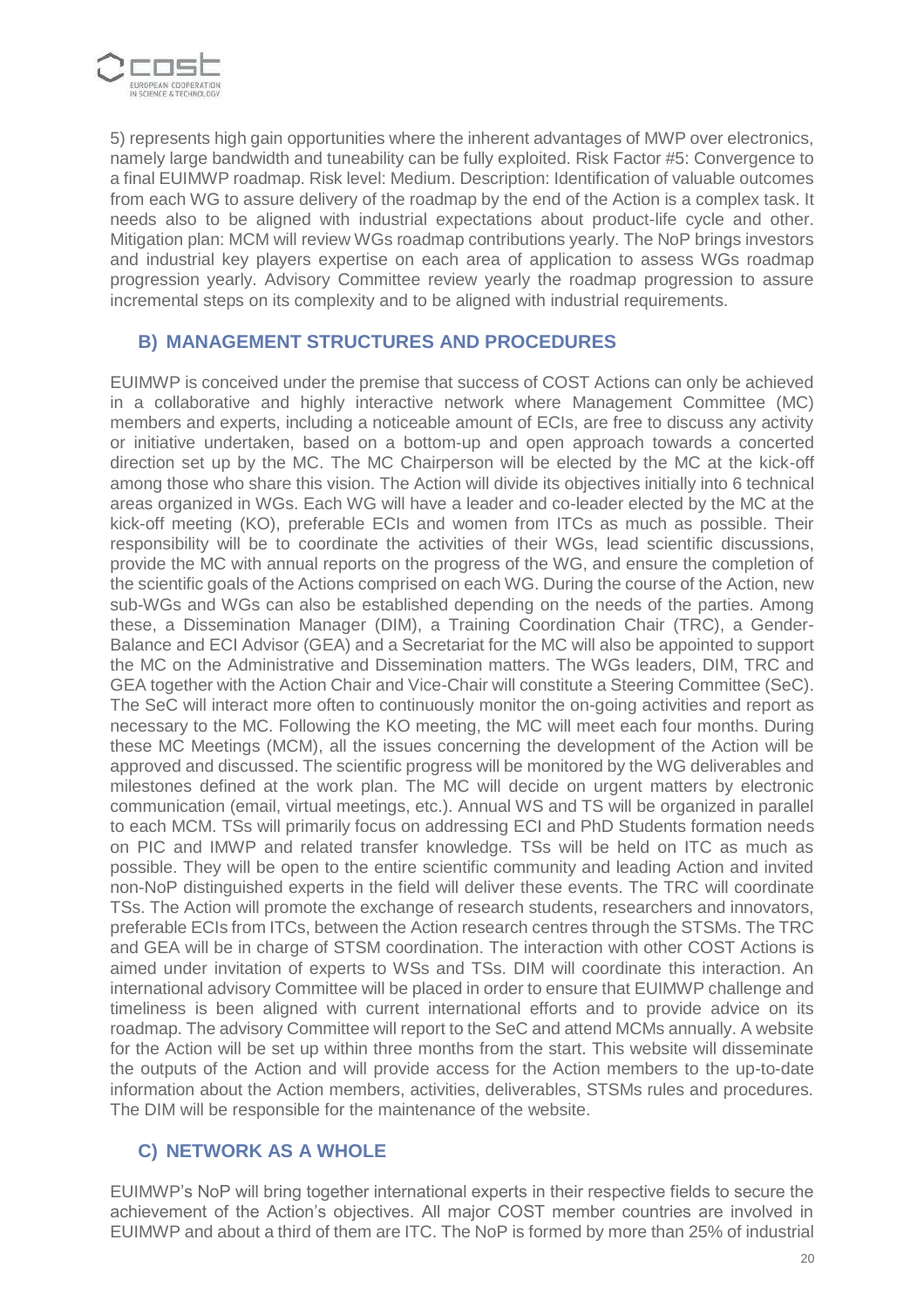

5) represents high gain opportunities where the inherent advantages of MWP over electronics, namely large bandwidth and tuneability can be fully exploited. Risk Factor #5: Convergence to a final EUIMWP roadmap. Risk level: Medium. Description: Identification of valuable outcomes from each WG to assure delivery of the roadmap by the end of the Action is a complex task. It needs also to be aligned with industrial expectations about product-life cycle and other. Mitigation plan: MCM will review WGs roadmap contributions yearly. The NoP brings investors and industrial key players expertise on each area of application to assess WGs roadmap progression yearly. Advisory Committee review yearly the roadmap progression to assure incremental steps on its complexity and to be aligned with industrial requirements.

## **B) MANAGEMENT STRUCTURES AND PROCEDURES**

EUIMWP is conceived under the premise that success of COST Actions can only be achieved in a collaborative and highly interactive network where Management Committee (MC) members and experts, including a noticeable amount of ECIs, are free to discuss any activity or initiative undertaken, based on a bottom-up and open approach towards a concerted direction set up by the MC. The MC Chairperson will be elected by the MC at the kick-off among those who share this vision. The Action will divide its objectives initially into 6 technical areas organized in WGs. Each WG will have a leader and co-leader elected by the MC at the kick-off meeting (KO), preferable ECIs and women from ITCs as much as possible. Their responsibility will be to coordinate the activities of their WGs, lead scientific discussions, provide the MC with annual reports on the progress of the WG, and ensure the completion of the scientific goals of the Actions comprised on each WG. During the course of the Action, new sub-WGs and WGs can also be established depending on the needs of the parties. Among these, a Dissemination Manager (DIM), a Training Coordination Chair (TRC), a Gender-Balance and ECI Advisor (GEA) and a Secretariat for the MC will also be appointed to support the MC on the Administrative and Dissemination matters. The WGs leaders, DIM, TRC and GEA together with the Action Chair and Vice-Chair will constitute a Steering Committee (SeC). The SeC will interact more often to continuously monitor the on-going activities and report as necessary to the MC. Following the KO meeting, the MC will meet each four months. During these MC Meetings (MCM), all the issues concerning the development of the Action will be approved and discussed. The scientific progress will be monitored by the WG deliverables and milestones defined at the work plan. The MC will decide on urgent matters by electronic communication (email, virtual meetings, etc.). Annual WS and TS will be organized in parallel to each MCM. TSs will primarily focus on addressing ECI and PhD Students formation needs on PIC and IMWP and related transfer knowledge. TSs will be held on ITC as much as possible. They will be open to the entire scientific community and leading Action and invited non-NoP distinguished experts in the field will deliver these events. The TRC will coordinate TSs. The Action will promote the exchange of research students, researchers and innovators, preferable ECIs from ITCs, between the Action research centres through the STSMs. The TRC and GEA will be in charge of STSM coordination. The interaction with other COST Actions is aimed under invitation of experts to WSs and TSs. DIM will coordinate this interaction. An international advisory Committee will be placed in order to ensure that EUIMWP challenge and timeliness is been aligned with current international efforts and to provide advice on its roadmap. The advisory Committee will report to the SeC and attend MCMs annually. A website for the Action will be set up within three months from the start. This website will disseminate the outputs of the Action and will provide access for the Action members to the up-to-date information about the Action members, activities, deliverables, STSMs rules and procedures. The DIM will be responsible for the maintenance of the website.

## **C) NETWORK AS A WHOLE**

EUIMWP's NoP will bring together international experts in their respective fields to secure the achievement of the Action's objectives. All major COST member countries are involved in EUIMWP and about a third of them are ITC. The NoP is formed by more than 25% of industrial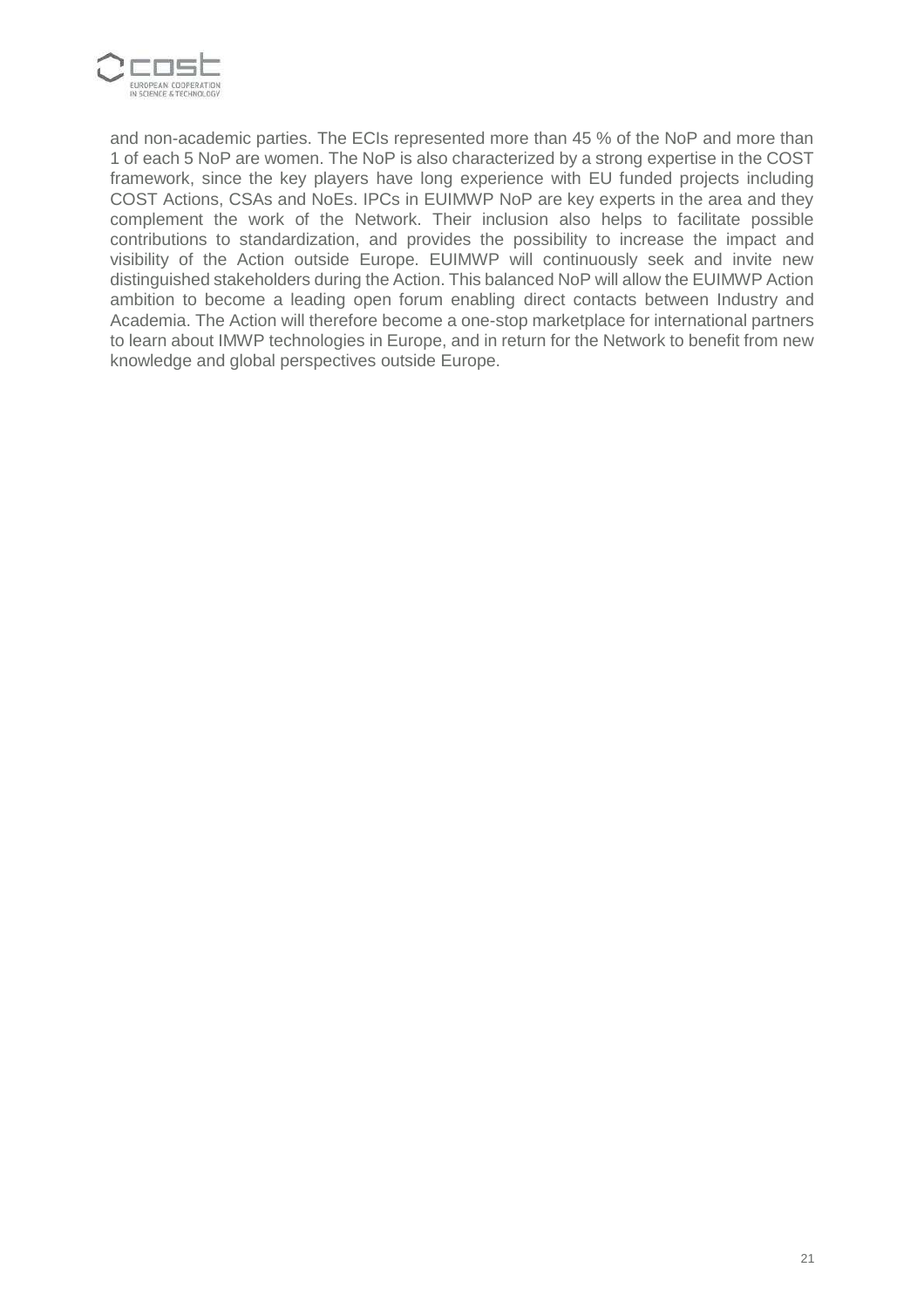

and non-academic parties. The ECIs represented more than 45 % of the NoP and more than 1 of each 5 NoP are women. The NoP is also characterized by a strong expertise in the COST framework, since the key players have long experience with EU funded projects including COST Actions, CSAs and NoEs. IPCs in EUIMWP NoP are key experts in the area and they complement the work of the Network. Their inclusion also helps to facilitate possible contributions to standardization, and provides the possibility to increase the impact and visibility of the Action outside Europe. EUIMWP will continuously seek and invite new distinguished stakeholders during the Action. This balanced NoP will allow the EUIMWP Action ambition to become a leading open forum enabling direct contacts between Industry and Academia. The Action will therefore become a one-stop marketplace for international partners to learn about IMWP technologies in Europe, and in return for the Network to benefit from new knowledge and global perspectives outside Europe.